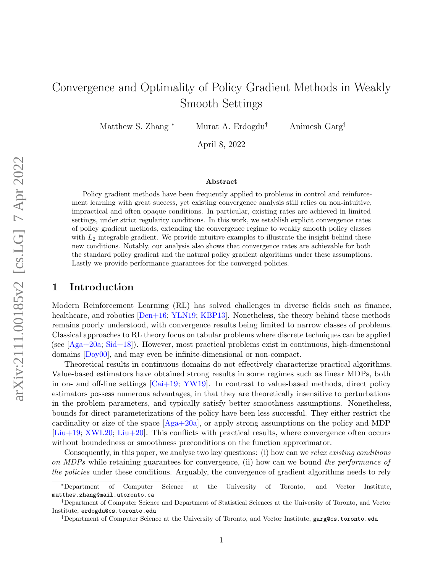# Convergence and Optimality of Policy Gradient Methods in Weakly Smooth Settings

Matthew S. Zhang \* Murat A. Erdogdu<sup>†</sup> Animesh Garg<sup>‡</sup>

April 8, 2022

#### Abstract

Policy gradient methods have been frequently applied to problems in control and reinforcement learning with great success, yet existing convergence analysis still relies on non-intuitive, impractical and often opaque conditions. In particular, existing rates are achieved in limited settings, under strict regularity conditions. In this work, we establish explicit convergence rates of policy gradient methods, extending the convergence regime to weakly smooth policy classes with  $L_2$  integrable gradient. We provide intuitive examples to illustrate the insight behind these new conditions. Notably, our analysis also shows that convergence rates are achievable for both the standard policy gradient and the natural policy gradient algorithms under these assumptions. Lastly we provide performance guarantees for the converged policies.

# 1 Introduction

Modern Reinforcement Learning (RL) has solved challenges in diverse fields such as finance, healthcare, and robotics  $[Den+16; YLN19; KBP13]$  $[Den+16; YLN19; KBP13]$  $[Den+16; YLN19; KBP13]$  $[Den+16; YLN19; KBP13]$ . Nonetheless, the theory behind these methods remains poorly understood, with convergence results being limited to narrow classes of problems. Classical approaches to RL theory focus on tabular problems where discrete techniques can be applied (see [\[Aga+20a;](#page-11-1) [Sid+18\]](#page-13-1)). However, most practical problems exist in continuous, high-dimensional domains [\[Doy00\]](#page-11-2), and may even be infinite-dimensional or non-compact.

Theoretical results in continuous domains do not effectively characterize practical algorithms. Value-based estimators have obtained strong results in some regimes such as linear MDPs, both in on- and off-line settings  $\lbrack \text{Cai+19; YW19} \rbrack$ . In contrast to value-based methods, direct policy estimators possess numerous advantages, in that they are theoretically insensitive to perturbations in the problem parameters, and typically satisfy better smoothness assumptions. Nonetheless, bounds for direct parameterizations of the policy have been less successful. They either restrict the cardinality or size of the space  $[A<sub>g</sub>a+20a]$ , or apply strong assumptions on the policy and MDP [\[Liu+19;](#page-12-1) [XWL20;](#page-13-3) [Liu+20\]](#page-12-2). This conflicts with practical results, where convergence often occurs without boundedness or smoothness preconditions on the function approximator.

Consequently, in this paper, we analyse two key questions: (i) how can we relax existing conditions on MDPs while retaining guarantees for convergence, (ii) how can we bound the performance of the policies under these conditions. Arguably, the convergence of gradient algorithms needs to rely

<sup>∗</sup>Department of Computer Science at the University of Toronto, and Vector Institute, matthew.zhang@mail.utoronto.ca

<sup>†</sup>Department of Computer Science and Department of Statistical Sciences at the University of Toronto, and Vector Institute, erdogdu@cs.toronto.edu

<sup>‡</sup>Department of Computer Science at the University of Toronto, and Vector Institute, garg@cs.toronto.edu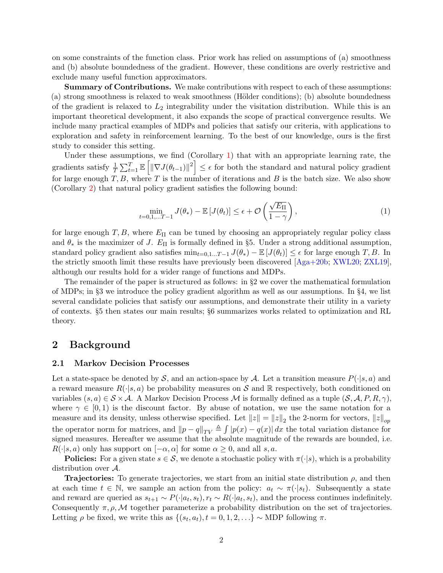on some constraints of the function class. Prior work has relied on assumptions of (a) smoothness and (b) absolute boundedness of the gradient. However, these conditions are overly restrictive and exclude many useful function approximators.

Summary of Contributions. We make contributions with respect to each of these assumptions: (a) strong smoothness is relaxed to weak smoothness (Hölder conditions); (b) absolute boundedness of the gradient is relaxed to  $L_2$  integrability under the visitation distribution. While this is an important theoretical development, it also expands the scope of practical convergence results. We include many practical examples of MDPs and policies that satisfy our criteria, with applications to exploration and safety in reinforcement learning. To the best of our knowledge, ours is the first study to consider this setting.

Under these assumptions, we find (Corollary [1\)](#page-7-0) that with an appropriate learning rate, the gradients satisfy  $\frac{1}{T} \sum_{t=1}^T \mathbb{E} \left[ \left\| \nabla J(\theta_{t-1}) \right\|^2 \right] \leq \epsilon$  for both the standard and natural policy gradient for large enough  $T, B$ , where  $T$  is the number of iterations and  $B$  is the batch size. We also show (Corollary [2\)](#page-8-0) that natural policy gradient satisfies the following bound:

$$
\min_{t=0,1,...T-1} J(\theta_*) - \mathbb{E}\left[J(\theta_t)\right] \le \epsilon + \mathcal{O}\left(\frac{\sqrt{E_{\Pi}}}{1-\gamma}\right),\tag{1}
$$

for large enough T, B, where  $E_{\Pi}$  can be tuned by choosing an appropriately regular policy class and  $\theta_*$  is the maximizer of J.  $E_{\Pi}$  is formally defined in §5. Under a strong additional assumption, standard policy gradient also satisfies  $\min_{t=0,1...T-1} J(\theta_{*}) - \mathbb{E}[J(\theta_{t})] \leq \epsilon$  for large enough T, B. In the strictly smooth limit these results have previously been discovered [\[Aga+20b;](#page-11-4) [XWL20;](#page-13-3) [ZXL19\]](#page-13-4), although our results hold for a wider range of functions and MDPs.

The remainder of the paper is structured as follows: in §2 we cover the mathematical formulation of MDPs; in §3 we introduce the policy gradient algorithm as well as our assumptions. In §4, we list several candidate policies that satisfy our assumptions, and demonstrate their utility in a variety of contexts. §5 then states our main results; §6 summarizes works related to optimization and RL theory.

### 2 Background

#### 2.1 Markov Decision Processes

Let a state-space be denoted by S, and an action-space by A. Let a transition measure  $P(\cdot|s, a)$  and a reward measure  $R(\cdot|s, a)$  be probability measures on S and R respectively, both conditioned on variables  $(s, a) \in S \times A$ . A Markov Decision Process M is formally defined as a tuple  $(S, \mathcal{A}, P, R, \gamma)$ , where  $\gamma \in [0,1)$  is the discount factor. By abuse of notation, we use the same notation for a measure and its density, unless otherwise specified. Let  $||z|| = ||z||_2$  the 2-norm for vectors,  $||z||_{op}$ the operator norm for matrices, and  $||p - q||_{TV} \triangleq \int |p(x) - q(x)| dx$  the total variation distance for signed measures. Hereafter we assume that the absolute magnitude of the rewards are bounded, i.e.  $R(\cdot|s, a)$  only has support on  $[-\alpha, \alpha]$  for some  $\alpha \geq 0$ , and all s, a.

**Policies:** For a given state  $s \in \mathcal{S}$ , we denote a stochastic policy with  $\pi(\cdot|s)$ , which is a probability distribution over A.

**Trajectories:** To generate trajectories, we start from an initial state distribution  $\rho$ , and then at each time  $t \in \mathbb{N}$ , we sample an action from the policy:  $a_t \sim \pi(\cdot|s_t)$ . Subsequently a state and reward are queried as  $s_{t+1} \sim P(\cdot | a_t, s_t), r_t \sim R(\cdot | a_t, s_t)$ , and the process continues indefinitely. Consequently  $\pi, \rho, \mathcal{M}$  together parameterize a probability distribution on the set of trajectories. Letting  $\rho$  be fixed, we write this as  $\{(s_t, a_t), t = 0, 1, 2, \ldots\} \sim \text{MDP}$  following  $\pi$ .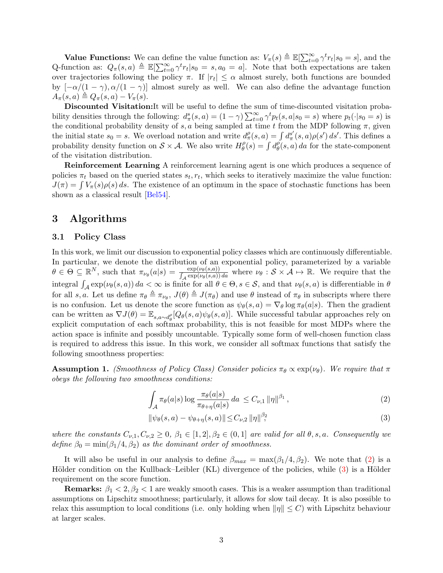**Value Functions:** We can define the value function as:  $V_{\pi}(s) \triangleq \mathbb{E}[\sum_{t=0}^{\infty} \gamma^t r_t | s_0 = s]$ , and the Q-function as:  $Q_{\pi}(s, a) \triangleq \mathbb{E}[\sum_{t=0}^{\infty} \gamma^t r_t | s_0 = s, a_0 = a]$ . Note that both expectations are taken over trajectories following the policy  $\pi$ . If  $|r_t| \leq \alpha$  almost surely, both functions are bounded by  $[-\alpha/(1-\gamma), \alpha/(1-\gamma)]$  almost surely as well. We can also define the advantage function  $A_\pi(s, a) \triangleq Q_\pi(s, a) - V_\pi(s).$ 

Discounted Visitation:It will be useful to define the sum of time-discounted visitation probability densities through the following:  $d^s_\pi(s, a) = (1 - \gamma) \sum_{t=0}^{\infty} \gamma^t p_t(s, a | s_0 = s)$  where  $p_t(\cdot | s_0 = s)$  is the conditional probability density of s, a being sampled at time t from the MDP following  $\pi$ , given the initial state  $s_0 = s$ . We overload notation and write  $d_{\pi}^{\rho}(s, a) = \int d_{\pi}^{s'}(s, a)\rho(s') ds'$ . This defines a probability density function on  $S \times A$ . We also write  $H^{\rho}_{\theta}$  $\theta_{\theta}^{\rho}(s) = \int d_{\theta}^{\rho}$  $\theta_{\theta}^{\rho}(s, a) da$  for the state-component of the visitation distribution.

Reinforcement Learning A reinforcement learning agent is one which produces a sequence of policies  $\pi_t$  based on the queried states  $s_t, r_t$ , which seeks to iteratively maximize the value function:  $J(\pi) = \int V_{\pi}(s)\rho(s) ds$ . The existence of an optimum in the space of stochastic functions has been shown as a classical result [\[Bel54\]](#page-11-5).

# 3 Algorithms

#### 3.1 Policy Class

In this work, we limit our discussion to exponential policy classes which are continuously differentiable. In particular, we denote the distribution of an exponential policy, parameterized by a variable  $\theta \in \Theta \subseteq \mathbb{R}^N$ , such that  $\pi_{\nu_\theta}(a|s) = \frac{\exp(\nu_\theta(s,a))}{\int_{\mathcal{A}} \exp(\nu_\theta(s,a)) da}$  where  $\nu_\theta : \mathcal{S} \times \mathcal{A} \mapsto \mathbb{R}$ . We require that the integral  $\int_{\mathcal{A}} \exp(\nu_{\theta}(s, a)) da < \infty$  is finite for all  $\theta \in \Theta, s \in \mathcal{S}$ , and that  $\nu_{\theta}(s, a)$  is differentiable in  $\theta$ for all s, a. Let us define  $\pi_{\theta} \triangleq \pi_{\nu_{\theta}}$ ,  $J(\theta) \triangleq J(\pi_{\theta})$  and use  $\theta$  instead of  $\pi_{\theta}$  in subscripts where there is no confusion. Let us denote the score function as  $\psi_{\theta}(s, a) = \nabla_{\theta} \log \pi_{\theta}(a|s)$ . Then the gradient can be written as  $\nabla J(\theta) = \mathbb{E}_{s,a \sim d_{\theta}^{\rho}}[Q_{\theta}(s,a)\psi_{\theta}(s,a)]$ . While successful tabular approaches rely on explicit computation of each softmax probability, this is not feasible for most MDPs where the action space is infinite and possibly uncountable. Typically some form of well-chosen function class is required to address this issue. In this work, we consider all softmax functions that satisfy the following smoothness properties:

**Assumption 1.** (Smoothness of Policy Class) Consider policies  $\pi_{\theta} \propto \exp(\nu_{\theta})$ . We require that  $\pi$ obeys the following two smoothness conditions:

<span id="page-2-1"></span><span id="page-2-0"></span>
$$
\int_{\mathcal{A}} \pi_{\theta}(a|s) \log \frac{\pi_{\theta}(a|s)}{\pi_{\theta+\eta}(a|s)} da \le C_{\nu,1} ||\eta||^{\beta_1},\tag{2}
$$

$$
\|\psi_{\theta}(s, a) - \psi_{\theta + \eta}(s, a)\| \le C_{\nu, 2} \|\eta\|_{\gamma}^{\beta_2} \tag{3}
$$

where the constants  $C_{\nu,1}, C_{\nu,2} \geq 0$ ,  $\beta_1 \in [1,2], \beta_2 \in (0,1]$  are valid for all  $\theta, s, a$ . Consequently we define  $\beta_0 = \min(\beta_1/4, \beta_2)$  as the dominant order of smoothness.

It will also be useful in our analysis to define  $\beta_{max} = \max(\beta_1/4, \beta_2)$ . We note that [\(2\)](#page-2-0) is a Hölder condition on the Kullback–Leibler (KL) divergence of the policies, while  $(3)$  is a Hölder requirement on the score function.

Remarks:  $\beta_1 < 2, \beta_2 < 1$  are weakly smooth cases. This is a weaker assumption than traditional assumptions on Lipschitz smoothness; particularly, it allows for slow tail decay. It is also possible to relax this assumption to local conditions (i.e. only holding when  $\|\eta\| \leq C$ ) with Lipschitz behaviour at larger scales.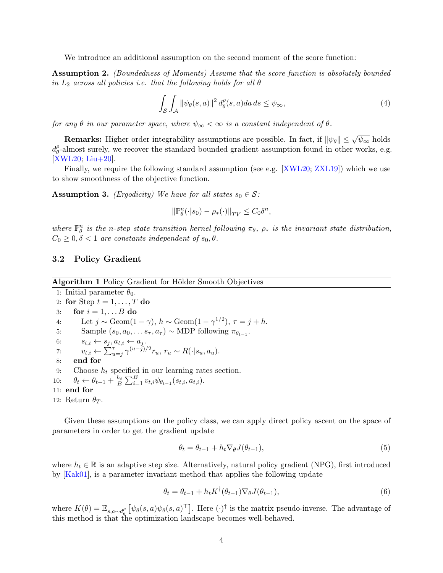We introduce an additional assumption on the second moment of the score function:

Assumption 2. (Boundedness of Moments) Assume that the score function is absolutely bounded in  $L_2$  across all policies i.e. that the following holds for all  $\theta$ 

<span id="page-3-0"></span>
$$
\int_{\mathcal{S}} \int_{\mathcal{A}} \left\| \psi_{\theta}(s, a) \right\|^2 d_{\theta}^{\rho}(s, a) da \, ds \le \psi_{\infty},\tag{4}
$$

for any  $\theta$  in our parameter space, where  $\psi_{\infty} < \infty$  is a constant independent of  $\theta$ .

**Remarks:** Higher order integrability assumptions are possible. In fact, if  $\|\psi_\theta\| \le \sqrt{\psi_\infty}$  holds  $d_{\theta}^{\rho}$  $\theta_{\theta}$ -almost surely, we recover the standard bounded gradient assumption found in other works, e.g. [\[XWL20;](#page-13-3) [Liu+20\]](#page-12-2).

Finally, we require the following standard assumption (see e.g. [\[XWL20;](#page-13-3) [ZXL19\]](#page-13-4)) which we use to show smoothness of the objective function.

<span id="page-3-1"></span>**Assumption 3.** (*Ergodicity*) We have for all states  $s_0 \in \mathcal{S}$ :

$$
\|\mathbb{P}_{\theta}^n(\cdot|s_0) - \rho_*(\cdot)\|_{TV} \le C_0 \delta^n,
$$

where  $\mathbb{P}_{\theta}^{n}$  is the n-step state transition kernel following  $\pi_{\theta}$ ,  $\rho_{*}$  is the invariant state distribution,  $C_0 \geq 0, \delta < 1$  are constants independent of  $s_0, \theta$ .

#### 3.2 Policy Gradient

Algorithm 1 Policy Gradient for Hölder Smooth Objectives

1: Initial parameter  $\theta_0$ . 2: for Step  $t = 1, \ldots, T$  do 3: for  $i = 1, \ldots B$  do 4: Let  $j \sim \text{Geom}(1-\gamma)$ ,  $h \sim \text{Geom}(1-\gamma^{1/2})$ ,  $\tau = j + h$ . 5: Sample  $(s_0, a_0, \ldots s_{\tau}, a_{\tau}) \sim \text{MDP}$  following  $\pi_{\theta_{t-1}}$ . 6:  $s_{t,i} \leftarrow s_j, a_{t,i} \leftarrow a_j.$ 7:  $v_{t,i} \leftarrow \sum_{u=j}^{\tau} \gamma^{(u-j)/2} r_u, r_u \sim R(\cdot|s_u, a_u).$ 8: end for 9: Choose  $h_t$  specified in our learning rates section. 10:  $\theta_t \leftarrow \theta_{t-1} + \frac{h_t}{B} \sum_{i=1}^B v_{t,i} \psi_{\theta_{t-1}}(s_{t,i}, \overline{a_{t,i}}).$ 11: end for 12: Return  $\theta_T$ .

Given these assumptions on the policy class, we can apply direct policy ascent on the space of parameters in order to get the gradient update

$$
\theta_t = \theta_{t-1} + h_t \nabla_{\theta} J(\theta_{t-1}), \tag{5}
$$

where  $h_t \in \mathbb{R}$  is an adaptive step size. Alternatively, natural policy gradient (NPG), first introduced by [\[Kak01\]](#page-12-3), is a parameter invariant method that applies the following update

$$
\theta_t = \theta_{t-1} + h_t K^{\dagger}(\theta_{t-1}) \nabla_{\theta} J(\theta_{t-1}),
$$
\n(6)

where  $K(\theta) = \mathbb{E}_{s,a\sim d_{\theta}^{\rho}} \left[ \psi_{\theta}(s,a) \psi_{\theta}(s,a)^{\top} \right]$ . Here (·)<sup>†</sup> is the matrix pseudo-inverse. The advantage of this method is that the optimization landscape becomes well-behaved.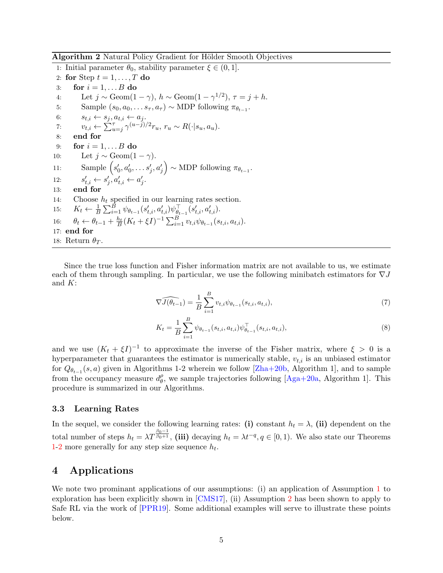Algorithm 2 Natural Policy Gradient for Hölder Smooth Objectives

1: Initial parameter  $\theta_0$ , stability parameter  $\xi \in (0,1]$ . 2: for Step  $t = 1, \ldots, T$  do 3: for  $i = 1, \ldots B$  do 4: Let  $j \sim \text{Geom}(1-\gamma)$ ,  $h \sim \text{Geom}(1-\gamma^{1/2})$ ,  $\tau = j + h$ . 5: Sample  $(s_0, a_0, \ldots s_{\tau}, a_{\tau}) \sim \text{MDP}$  following  $\pi_{\theta_{t-1}}$ . 6:  $s_{t,i} \leftarrow s_j, a_{t,i} \leftarrow a_j.$ 7:  $v_{t,i} \leftarrow \sum_{u=j}^{\tau} \gamma^{(u-j)/2} r_u, r_u \sim R(\cdot|s_u, a_u).$ 8: end for 9: for  $i = 1, \ldots B$  do 10: Let  $j \sim \text{Geom}(1-\gamma)$ . 11: Sample  $(s'_0, a'_0, \ldots s'_j, a'_j) \sim \text{MDP}$  following  $\pi_{\theta_{t-1}}$ .  $12:$  $a'_{t,i} \leftarrow s'_j, a'_{t,i} \leftarrow a'_j.$  $13:$ 14: Choose  $h_t$  specified in our learning rates section. 15:  $K_t \leftarrow \frac{1}{B} \sum_{i=1}^{B} \psi_{\theta_{t-1}}(s'_{t,i}, a'_{t,i}) \psi_{\theta_{t-1}}^{\top} (s'_{t,i}, a'_{t,i}).$ 16:  $\theta_t \leftarrow \theta_{t-1} + \frac{h_t}{B} (K_t + \xi I)^{-1} \sum_{i=1}^B v_{t,i} \psi_{\theta_{t-1}}(s_{t,i}, a_{t,i}).$ 17: end for 18: Return  $\theta_T$ .

Since the true loss function and Fisher information matrix are not available to us, we estimate each of them through sampling. In particular, we use the following minibatch estimators for  $\nabla J$ and  $K$ :

$$
\widehat{\nabla J(\theta_{t-1})} = \frac{1}{B} \sum_{i=1}^{B} v_{t,i} \psi_{\theta_{t-1}}(s_{t,i}, a_{t,i}),
$$
\n(7)

$$
K_t = \frac{1}{B} \sum_{i=1}^{B} \psi_{\theta_{t-1}}(s_{t,i}, a_{t,i}) \psi_{\theta_{t-1}}^{\top}(s_{t,i}, a_{t,i}),
$$
\n(8)

and we use  $(K_t + \xi I)^{-1}$  to approximate the inverse of the Fisher matrix, where  $\xi > 0$  is a hyperparameter that guarantees the estimator is numerically stable,  $v_{t,i}$  is an unbiased estimator for  $Q_{\theta_{t-1}}(s, a)$  given in Algorithms 1-2 wherein we follow [\[Zha+20b,](#page-13-5) Algorithm 1], and to sample from the occupancy measure  $d_{\theta}^{\rho}$  $\theta_{\theta}$ , we sample trajectories following [\[Aga+20a,](#page-11-1) Algorithm 1]. This procedure is summarized in our Algorithms.

#### 3.3 Learning Rates

In the sequel, we consider the following learning rates: (i) constant  $h_t = \lambda$ , (ii) dependent on the total number of steps  $h_t = \lambda T^{\frac{\beta_0 - 1}{\beta_0 + 1}}$ , (iii) decaying  $h_t = \lambda t^{-q}$ ,  $q \in [0, 1)$ . We also state our Theorems [1-](#page-6-0)[2](#page-7-1) more generally for any step size sequence  $h_t$ .

# 4 Applications

We note two prominant applications of our assumptions: (i) an application of Assumption [1](#page-2-1) to exploration has been explicitly shown in [\[CMS17\]](#page-11-6), (ii) Assumption [2](#page-3-0) has been shown to apply to Safe RL via the work of [\[PPR19\]](#page-12-4). Some additional examples will serve to illustrate these points below.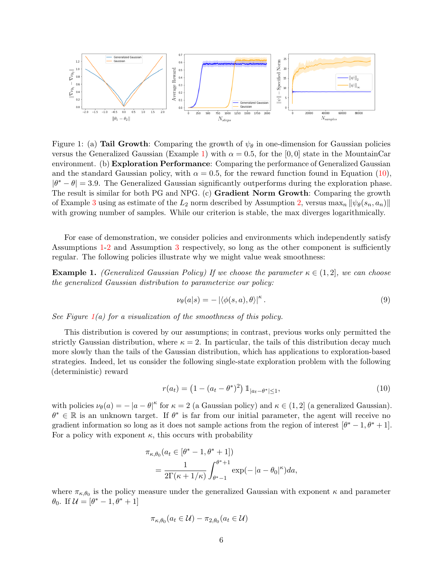<span id="page-5-2"></span>

Figure 1: (a) Tail Growth: Comparing the growth of  $\psi_{\theta}$  in one-dimension for Gaussian policies versus the Generalized Gaussian (Example [1\)](#page-5-0) with  $\alpha = 0.5$ , for the [0,0] state in the MountainCar environment. (b) Exploration Performance: Comparing the performance of Generalized Gaussian and the standard Gaussian policy, with  $\alpha = 0.5$ , for the reward function found in Equation [\(10\)](#page-5-1).  $|\theta^* - \theta| = 3.9$ . The Generalized Gaussian significantly outperforms during the exploration phase. The result is similar for both PG and NPG. (c) **Gradient Norm Growth**: Comparing the growth of Example [3](#page-6-1) using as estimate of the  $L_2$  norm described by Assumption [2,](#page-3-0) versus max<sub>n</sub>  $\|\psi_\theta(s_n, a_n)\|$ with growing number of samples. While our criterion is stable, the max diverges logarithmically.

For ease of demonstration, we consider policies and environments which independently satisfy Assumptions [1-](#page-2-1)[2](#page-3-0) and Assumption [3](#page-3-1) respectively, so long as the other component is sufficiently regular. The following policies illustrate why we might value weak smoothness:

**Example 1.** (Generalized Gaussian Policy) If we choose the parameter  $\kappa \in (1,2]$ , we can choose the generalized Gaussian distribution to parameterize our policy:

<span id="page-5-0"></span>
$$
\nu_{\theta}(a|s) = -|\langle \phi(s, a), \theta \rangle|^{\kappa}.
$$
\n(9)

See Figure  $1(a)$  $1(a)$  for a visualization of the smoothness of this policy.

This distribution is covered by our assumptions; in contrast, previous works only permitted the strictly Gaussian distribution, where  $\kappa = 2$ . In particular, the tails of this distribution decay much more slowly than the tails of the Gaussian distribution, which has applications to exploration-based strategies. Indeed, let us consider the following single-state exploration problem with the following (deterministic) reward

<span id="page-5-1"></span>
$$
r(a_t) = (1 - (a_t - \theta^*)^2) \mathbb{1}_{|a_t - \theta^*| \le 1},
$$
\n(10)

with policies  $\nu_{\theta}(a) = -|a - \theta|^{\kappa}$  for  $\kappa = 2$  (a Gaussian policy) and  $\kappa \in (1, 2]$  (a generalized Gaussian).  $\theta^* \in \mathbb{R}$  is an unknown target. If  $\theta^*$  is far from our initial parameter, the agent will receive no gradient information so long as it does not sample actions from the region of interest  $[\theta^* - 1, \theta^* + 1]$ . For a policy with exponent  $\kappa$ , this occurs with probability

$$
\pi_{\kappa,\theta_0}(a_t \in [\theta^* - 1, \theta^* + 1])
$$
  
= 
$$
\frac{1}{2\Gamma(\kappa + 1/\kappa)} \int_{\theta^* - 1}^{\theta^* + 1} \exp(-|a - \theta_0|^{\kappa}) da,
$$

where  $\pi_{\kappa,\theta_0}$  is the policy measure under the generalized Gaussian with exponent  $\kappa$  and parameter  $\theta_0$ . If  $\mathcal{U} = [\theta^* - 1, \theta^* + 1]$ 

$$
\pi_{\kappa,\theta_0}(a_t \in \mathcal{U}) - \pi_{2,\theta_0}(a_t \in \mathcal{U})
$$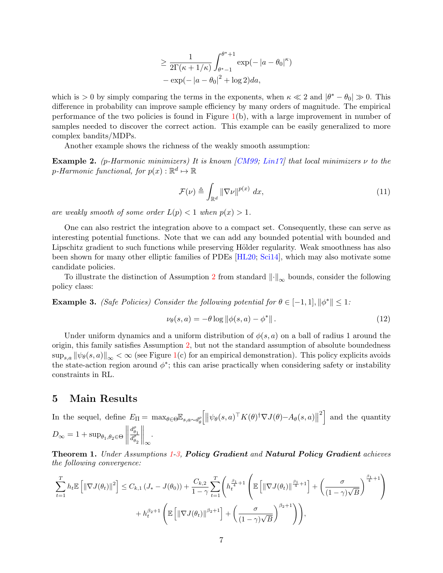$$
\geq \frac{1}{2\Gamma(\kappa+1/\kappa)} \int_{\theta^*-1}^{\theta^*+1} \exp(-|a-\theta_0|^\kappa)
$$

$$
-\exp(-|a-\theta_0|^2 + \log 2)da,
$$

which is > 0 by simply comparing the terms in the exponents, when  $\kappa \ll 2$  and  $|\theta^* - \theta_0| \gg 0$ . This difference in probability can improve sample efficiency by many orders of magnitude. The empirical performance of the two policies is found in Figure  $1(b)$  $1(b)$ , with a large improvement in number of samples needed to discover the correct action. This example can be easily generalized to more complex bandits/MDPs.

Another example shows the richness of the weakly smooth assumption:

**Example 2.** (p-Harmonic minimizers) It is known [\[CM99;](#page-11-7) [Lin17\]](#page-12-5) that local minimizers  $\nu$  to the p-Harmonic functional, for  $p(x): \mathbb{R}^d \mapsto \mathbb{R}$ 

$$
\mathcal{F}(\nu) \triangleq \int_{\mathbb{R}^d} \|\nabla \nu\|^{p(x)} dx,
$$
\n(11)

are weakly smooth of some order  $L(p) < 1$  when  $p(x) > 1$ .

One can also restrict the integration above to a compact set. Consequently, these can serve as interesting potential functions. Note that we can add any bounded potential with bounded and Lipschitz gradient to such functions while preserving Hölder regularity. Weak smoothness has also been shown for many other elliptic families of PDEs [\[HL20;](#page-11-8) [Sci14\]](#page-12-6), which may also motivate some candidate policies.

To illustrate the distinction of Assumption [2](#page-3-0) from standard  $\left\|\cdot\right\|_{\infty}$  bounds, consider the following policy class:

<span id="page-6-1"></span>**Example 3.** (Safe Policies) Consider the following potential for  $\theta \in [-1,1], ||\phi^*|| \leq 1$ :

$$
\nu_{\theta}(s, a) = -\theta \log \|\phi(s, a) - \phi^*\|.
$$
\n(12)

Under uniform dynamics and a uniform distribution of  $\phi(s, a)$  on a ball of radius 1 around the origin, this family satisfies Assumption [2,](#page-3-0) but not the standard assumption of absolute boundedness  $\sup_{s,a} ||\psi_\theta(s, a)||_\infty < \infty$  (see Figure [1\(](#page-5-2)c) for an empirical demonstration). This policy explicits avoids the state-action region around  $\phi^*$ ; this can arise practically when considering safety or instability constraints in RL.

# 5 Main Results

In the sequel, define  $E_{\Pi} = \max_{\theta \in \Theta} \mathbb{E}_{s,a \sim d_{\theta}^{\theta}} \left[ \left\| \psi_{\theta}(s, a)^{\top} K(\theta)^{\dagger} \nabla J(\theta) - A_{\theta}(s, a) \right\| \right]$  $\left\vert \frac{1}{2}\right\vert$  and the quantity  $D_{\infty} = 1 + \sup_{\theta_1, \theta_2 \in \Theta} \left\| \right\|$  $d_{\theta_1}^{\rho}$  $\overline{d_{\theta_2}^{\rho}}$  $\Big\|_\infty$ .

<span id="page-6-0"></span>Theorem [1](#page-2-1). Under Assumptions 1[-3,](#page-3-1) Policy Gradient and Natural Policy Gradient achieves the following convergence:

$$
\sum_{t=1}^{T} h_t \mathbb{E} \left[ \left\| \nabla J(\theta_t) \right\|^2 \right] \leq C_{k,1} \left( J_* - J(\theta_0) \right) + \frac{C_{k,2}}{1 - \gamma} \sum_{t=1}^{T} \left( h_t^{\frac{\beta_1}{4} + 1} \left( \mathbb{E} \left[ \left\| \nabla J(\theta_t) \right\|^{\frac{\beta_1}{4} + 1} \right] + \left( \frac{\sigma}{(1 - \gamma)\sqrt{B}} \right)^{\frac{\beta_1}{4} + 1} \right) \right) + h_t^{\beta_2 + 1} \left( \mathbb{E} \left[ \left\| \nabla J(\theta_t) \right\|^{\beta_2 + 1} \right] + \left( \frac{\sigma}{(1 - \gamma)\sqrt{B}} \right)^{\beta_2 + 1} \right) \right),
$$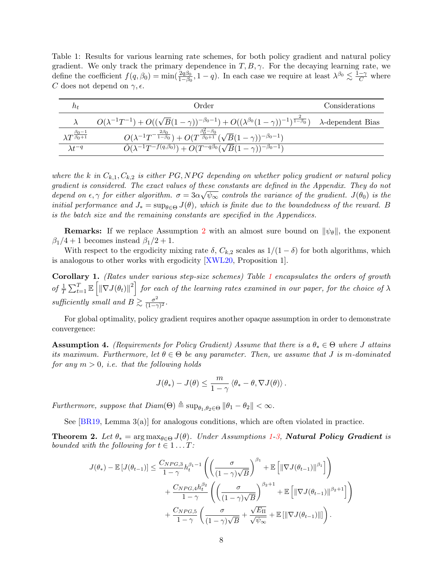<span id="page-7-2"></span>Table 1: Results for various learning rate schemes, for both policy gradient and natural policy gradient. We only track the primary dependence in  $T, B, \gamma$ . For the decaying learning rate, we define the coefficient  $f(q, \beta_0) = \min(\frac{2q\beta_0}{1-\beta_0})$  $\frac{2q\beta_0}{1-\beta_0}, 1-q$ ). In each case we require at least  $\lambda^{\beta_0} \lesssim \frac{1-\gamma}{C}$  where C does not depend on  $\gamma$ ,  $\epsilon$ .

| $n_{t}$                                   | Order                                                                                                                                                   | Considerations |
|-------------------------------------------|---------------------------------------------------------------------------------------------------------------------------------------------------------|----------------|
|                                           | $O(\lambda^{-1}T^{-1}) + O((\sqrt{B}(1-\gamma))^{-\beta_0-1}) + O((\lambda^{\beta_0}(1-\gamma))^{-1})^{\frac{2}{1-\beta_0}})$ $\lambda$ -dependent Bias |                |
| $\lambda T^{\frac{\beta_0-1}{\beta_0+1}}$ | $O(\lambda^{-1}T^{-\frac{2\beta_0}{1-\beta_0}})+O(T^{\frac{\beta_0^2-\beta_0}{\beta_0+1}}(\sqrt{B}(1-\gamma))^{-\beta_0-1})$                            |                |
| $\lambda f^{-q}$                          | $\overline{\tilde{O}(\lambda^{-1}T^{-f(q,\beta_0)})+O(T^{-q\beta_0}(\sqrt{B}(1-\gamma))^{-\beta_0-1})}$                                                 |                |

where the k in  $C_{k,1}, C_{k,2}$  is either PG, NPG depending on whether policy gradient or natural policy gradient is considered. The exact values of these constants are defined in the Appendix. They do not depend on  $\epsilon, \gamma$  for either algorithm.  $\sigma = 3\alpha\sqrt{\psi_{\infty}}$  controls the variance of the gradient.  $J(\theta_0)$  is the initial performance and  $J_* = \sup_{\theta \in \Theta} J(\theta)$ , which is finite due to the boundedness of the reward. B is the batch size and the remaining constants are specified in the Appendices.

**Remarks:** If we replace Assumption [2](#page-3-0) with an almost sure bound on  $\|\psi_{\theta}\|$ , the exponent  $\beta_1/4 + 1$  becomes instead  $\beta_1/2 + 1$ .

With respect to the ergodicity mixing rate  $\delta$ ,  $C_{k,2}$  scales as  $1/(1-\delta)$  for both algorithms, which is analogous to other works with ergodicity [\[XWL20,](#page-13-3) Proposition 1].

<span id="page-7-0"></span>Corollary [1](#page-7-2). (Rates under various step-size schemes) Table 1 encapsulates the orders of growth of  $\frac{1}{T} \sum_{t=1}^T \mathbb{E} \left[ \|\nabla J(\theta_t)\|^2 \right]$  for each of the learning rates examined in our paper, for the choice of  $\lambda$ sufficiently small and  $B \geq \frac{\sigma^2}{(1-\sigma^2)}$  $\frac{\sigma^2}{(1-\gamma)^2}$ .

For global optimality, policy gradient requires another opaque assumption in order to demonstrate convergence:

<span id="page-7-3"></span>**Assumption 4.** (Requirements for Policy Gradient) Assume that there is a  $\theta_* \in \Theta$  where J attains its maximum. Furthermore, let  $\theta \in \Theta$  be any parameter. Then, we assume that J is m-dominated for any  $m > 0$ , *i.e.* that the following holds

$$
J(\theta_*) - J(\theta) \leq \frac{m}{1-\gamma} \left\langle \theta_* - \theta, \nabla J(\theta) \right\rangle.
$$

Furthermore, suppose that  $Diam(\Theta) \triangleq sup_{\theta_1,\theta_2\in\Theta} ||\theta_1 - \theta_2|| < \infty$ .

See [\[BR19,](#page-11-9) Lemma 3(a)] for analogous conditions, which are often violated in practice.

<span id="page-7-1"></span>**Theorem 2.** Let  $\theta_* = \arg \max_{\theta \in \Theta} J(\theta)$ . Under Assumptions [1-](#page-2-1)[3,](#page-3-1) **Natural Policy Gradient** is bounded with the following for  $t \in 1 \dots T$ :

$$
J(\theta_*) - \mathbb{E}\left[J(\theta_{t-1})\right] \leq \frac{C_{NPG,3}}{1-\gamma} h_t^{\beta_1-1} \left( \left(\frac{\sigma}{(1-\gamma)\sqrt{B}}\right)^{\beta_1} + \mathbb{E}\left[\|\nabla J(\theta_{t-1})\|^{ \beta_1}\right] \right) + \frac{C_{NPG,4}h_t^{\beta_2}}{1-\gamma} \left( \left(\frac{\sigma}{(1-\gamma)\sqrt{B}}\right)^{\beta_2+1} + \mathbb{E}\left[\|\nabla J(\theta_{t-1})\|^{ \beta_2+1}\right] \right) + \frac{C_{NPG,5}}{1-\gamma} \left( \frac{\sigma}{(1-\gamma)\sqrt{B}} + \frac{\sqrt{E_{\Pi}}}{\sqrt{\psi_{\infty}}} + \mathbb{E}\left[\|\nabla J(\theta_{t-1})\|\right] \right).
$$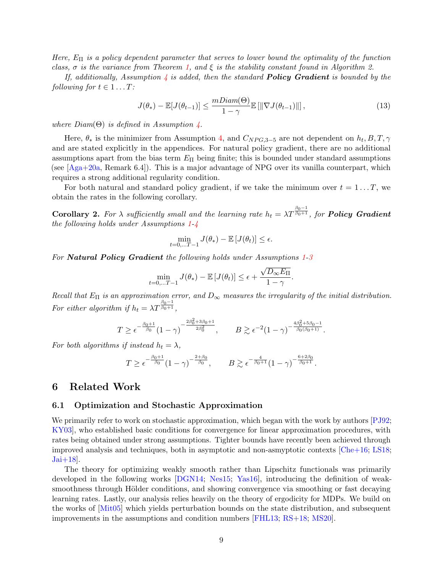Here,  $E_{\Pi}$  is a policy dependent parameter that serves to lower bound the optimality of the function class,  $\sigma$  is the variance from Theorem [1,](#page-6-0) and  $\xi$  is the stability constant found in Algorithm 2.

If, additionally, Assumption  $\frac{1}{4}$  $\frac{1}{4}$  $\frac{1}{4}$  is added, then the standard **Policy Gradient** is bounded by the following for  $t \in 1 \dots T$ :

$$
J(\theta_*) - \mathbb{E}[J(\theta_{t-1})] \le \frac{mDiam(\Theta)}{1 - \gamma} \mathbb{E}[\|\nabla J(\theta_{t-1})\|],\tag{13}
$$

where  $Diam(\Theta)$  is defined in Assumption [4.](#page-7-3)

Here,  $\theta_*$  is the minimizer from Assumption [4,](#page-7-3) and  $C_{NPG,3-5}$  are not dependent on  $h_t, B, T, \gamma$ and are stated explicitly in the appendices. For natural policy gradient, there are no additional assumptions apart from the bias term  $E_{\Pi}$  being finite; this is bounded under standard assumptions (see  $[A<sub>ga</sub>+20a,$  Remark 6.4). This is a major advantage of NPG over its vanilla counterpart, which requires a strong additional regularity condition.

For both natural and standard policy gradient, if we take the minimum over  $t = 1...T$ , we obtain the rates in the following corollary.

<span id="page-8-0"></span>**Corollary 2.** For  $\lambda$  sufficiently small and the learning rate  $h_t = \lambda T^{\frac{\beta_0 - 1}{\beta_0 + 1}}$ , for **Policy Gradient** the following holds under Assumptions [1-](#page-2-1)[4](#page-7-3)

$$
\min_{t=0,\ldots T-1} J(\theta_*) - \mathbb{E}\left[J(\theta_t)\right] \le \epsilon.
$$

For Natural Policy Gradient the following holds under Assumptions [1](#page-2-1)[-3](#page-3-1)

$$
\min_{t=0,\ldots T-1} J(\theta_*) - \mathbb{E}\left[J(\theta_t)\right] \leq \epsilon + \frac{\sqrt{D_{\infty}E_{\Pi}}}{1-\gamma}.
$$

Recall that  $E_{\Pi}$  is an approximation error, and  $D_{\infty}$  measures the irregularity of the initial distribution. For either algorithm if  $h_t = \lambda T^{\frac{\beta_0 - 1}{\beta_0 + 1}},$ 

$$
T \geq \epsilon^{-\frac{\beta_0+1}{\beta_0}}(1-\gamma)^{-\frac{2\beta_0^2+3\beta_0+1}{2\beta_0^2}}, \qquad B \gtrsim \epsilon^{-2}(1-\gamma)^{-\frac{4\beta_0^2+5\beta_0-1}{\beta_0(\beta_0+1)}}.
$$

For both algorithms if instead  $h_t = \lambda$ ,

$$
T \geq \epsilon^{-\frac{\beta_0+1}{\beta_0}} (1-\gamma)^{-\frac{2+\beta_0}{\beta_0}}, \qquad B \gtrsim \epsilon^{-\frac{4}{\beta_0+1}} (1-\gamma)^{-\frac{6+2\beta_0}{\beta_0+1}}.
$$

### 6 Related Work

#### 6.1 Optimization and Stochastic Approximation

We primarily refer to work on stochastic approximation, which began with the work by authors [\[PJ92;](#page-12-7) [KY03\]](#page-12-8), who established basic conditions for convergence for linear approximation procedures, with rates being obtained under strong assumptions. Tighter bounds have recently been achieved through improved analysis and techniques, both in asymptotic and non-asmyptotic contexts  $[Che+16; LS18;$  $[Che+16; LS18;$  $Jai+18$ .

The theory for optimizing weakly smooth rather than Lipschitz functionals was primarily developed in the following works [\[DGN14;](#page-11-12) [Nes15;](#page-12-10) [Yas16\]](#page-13-6), introducing the definition of weaksmoothness through Hölder conditions, and showing convergence via smoothing or fast decaying learning rates. Lastly, our analysis relies heavily on the theory of ergodicity for MDPs. We build on the works of [\[Mit05\]](#page-12-11) which yields perturbation bounds on the state distribution, and subsequent improvements in the assumptions and condition numbers [\[FHL13;](#page-11-13) [RS+18;](#page-12-12) [MS20\]](#page-12-13).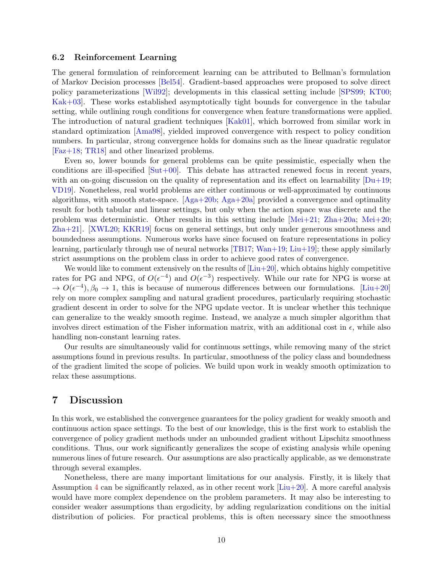#### 6.2 Reinforcement Learning

The general formulation of reinforcement learning can be attributed to Bellman's formulation of Markov Decision processes [\[Bel54\]](#page-11-5). Gradient-based approaches were proposed to solve direct policy parameterizations [\[Wil92\]](#page-13-7); developments in this classical setting include [\[SPS99;](#page-13-8) [KT00;](#page-12-14) [Kak+03\]](#page-12-15). These works established asymptotically tight bounds for convergence in the tabular setting, while outlining rough conditions for convergence when feature transformations were applied. The introduction of natural gradient techniques [\[Kak01\]](#page-12-3), which borrowed from similar work in standard optimization [\[Ama98\]](#page-11-14), yielded improved convergence with respect to policy condition numbers. In particular, strong convergence holds for domains such as the linear quadratic regulator [\[Faz+18;](#page-11-15) [TR18\]](#page-13-9) and other linearized problems.

Even so, lower bounds for general problems can be quite pessimistic, especially when the conditions are ill-specified  $[Sut+00]$ . This debate has attracted renewed focus in recent years, with an on-going discussion on the quality of representation and its effect on learnability  $[Du+19;$ [VD19\]](#page-13-11). Nonetheless, real world problems are either continuous or well-approximated by continuous algorithms, with smooth state-space.  $[Aga+20b; Aga+20a]$  $[Aga+20b; Aga+20a]$  provided a convergence and optimality result for both tabular and linear settings, but only when the action space was discrete and the problem was deterministic. Other results in this setting include  $[Mei+21; Zha+20a; Mei+20;$  $[Mei+21; Zha+20a; Mei+20;$  $[Mei+21; Zha+20a; Mei+20;$  $[Mei+21; Zha+20a; Mei+20;$ [Zha+21\]](#page-13-13). [\[XWL20;](#page-13-3) [KKR19\]](#page-12-18) focus on general settings, but only under generous smoothness and boundedness assumptions. Numerous works have since focused on feature representations in policy learning, particularly through use of neural networks  $[TB17; Wan+19; Liu+19]$  $[TB17; Wan+19; Liu+19]$  $[TB17; Wan+19; Liu+19]$  $[TB17; Wan+19; Liu+19]$ ; these apply similarly strict assumptions on the problem class in order to achieve good rates of convergence.

We would like to comment extensively on the results of  $[Liu+20]$ , which obtains highly competitive rates for PG and NPG, of  $O(\epsilon^{-4})$  and  $O(\epsilon^{-3})$  respectively. While our rate for NPG is worse at  $\to O(\epsilon^{-4}), \beta_0 \to 1$ , this is because of numerous differences between our formulations. [\[Liu+20\]](#page-12-2) rely on more complex sampling and natural gradient procedures, particularly requiring stochastic gradient descent in order to solve for the NPG update vector. It is unclear whether this technique can generalize to the weakly smooth regime. Instead, we analyze a much simpler algorithm that involves direct estimation of the Fisher information matrix, with an additional cost in  $\epsilon$ , while also handling non-constant learning rates.

Our results are simultaneously valid for continuous settings, while removing many of the strict assumptions found in previous results. In particular, smoothness of the policy class and boundedness of the gradient limited the scope of policies. We build upon work in weakly smooth optimization to relax these assumptions.

### 7 Discussion

In this work, we established the convergence guarantees for the policy gradient for weakly smooth and continuous action space settings. To the best of our knowledge, this is the first work to establish the convergence of policy gradient methods under an unbounded gradient without Lipschitz smoothness conditions. Thus, our work significantly generalizes the scope of existing analysis while opening numerous lines of future research. Our assumptions are also practically applicable, as we demonstrate through several examples.

Nonetheless, there are many important limitations for our analysis. Firstly, it is likely that Assumption [4](#page-7-3) can be significantly relaxed, as in other recent work  $[Liu+20]$ . A more careful analysis would have more complex dependence on the problem parameters. It may also be interesting to consider weaker assumptions than ergodicity, by adding regularization conditions on the initial distribution of policies. For practical problems, this is often necessary since the smoothness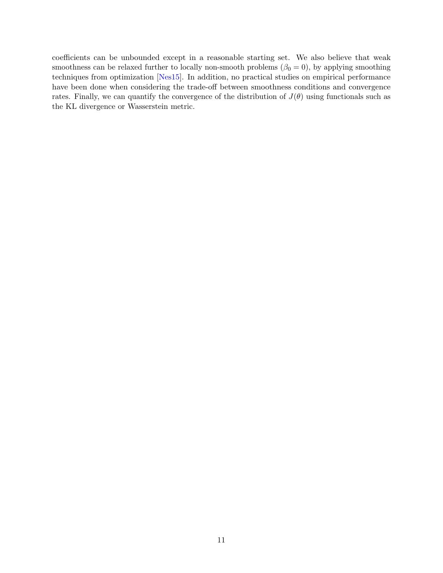coefficients can be unbounded except in a reasonable starting set. We also believe that weak smoothness can be relaxed further to locally non-smooth problems ( $\beta_0 = 0$ ), by applying smoothing techniques from optimization [\[Nes15\]](#page-12-10). In addition, no practical studies on empirical performance have been done when considering the trade-off between smoothness conditions and convergence rates. Finally, we can quantify the convergence of the distribution of  $J(\theta)$  using functionals such as the KL divergence or Wasserstein metric.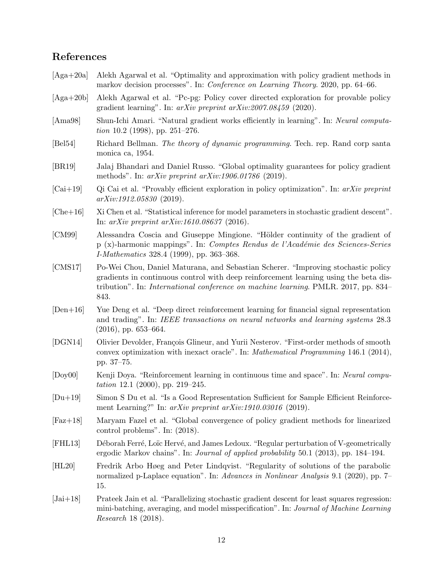# References

- <span id="page-11-1"></span>[Aga+20a] Alekh Agarwal et al. "Optimality and approximation with policy gradient methods in markov decision processes". In: Conference on Learning Theory. 2020, pp. 64–66.
- <span id="page-11-4"></span>[Aga+20b] Alekh Agarwal et al. "Pc-pg: Policy cover directed exploration for provable policy gradient learning". In: arXiv preprint arXiv:2007.08459 (2020).
- <span id="page-11-14"></span>[Ama98] Shun-Ichi Amari. "Natural gradient works efficiently in learning". In: Neural computation 10.2 (1998), pp. 251–276.
- <span id="page-11-5"></span>[Bel54] Richard Bellman. The theory of dynamic programming. Tech. rep. Rand corp santa monica ca, 1954.
- <span id="page-11-9"></span>[BR19] Jalaj Bhandari and Daniel Russo. "Global optimality guarantees for policy gradient methods". In: arXiv preprint arXiv:1906.01786 (2019).
- <span id="page-11-3"></span> $[\text{Cai+19}]$  Qi Cai et al. "Provably efficient exploration in policy optimization". In: arXiv preprint arXiv:1912.05830 (2019).
- <span id="page-11-10"></span>[Che+16] Xi Chen et al. "Statistical inference for model parameters in stochastic gradient descent". In: arXiv preprint arXiv:1610.08637 (2016).
- <span id="page-11-7"></span>[CM99] Alessandra Coscia and Giuseppe Mingione. "Hölder continuity of the gradient of p (x)-harmonic mappings". In: Comptes Rendus de l'Acad´emie des Sciences-Series I-Mathematics 328.4 (1999), pp. 363–368.
- <span id="page-11-6"></span>[CMS17] Po-Wei Chou, Daniel Maturana, and Sebastian Scherer. "Improving stochastic policy gradients in continuous control with deep reinforcement learning using the beta distribution". In: International conference on machine learning. PMLR. 2017, pp. 834– 843.
- <span id="page-11-0"></span>[Den+16] Yue Deng et al. "Deep direct reinforcement learning for financial signal representation and trading". In: IEEE transactions on neural networks and learning systems 28.3  $(2016)$ , pp. 653–664.
- <span id="page-11-12"></span>[DGN14] Olivier Devolder, François Glineur, and Yurii Nesterov. "First-order methods of smooth convex optimization with inexact oracle". In: Mathematical Programming 146.1 (2014), pp. 37–75.
- <span id="page-11-2"></span>[Doy00] Kenji Doya. "Reinforcement learning in continuous time and space". In: Neural computation 12.1 (2000), pp. 219–245.
- <span id="page-11-16"></span>[Du+19] Simon S Du et al. "Is a Good Representation Sufficient for Sample Efficient Reinforcement Learning?" In: arXiv preprint arXiv:1910.03016 (2019).
- <span id="page-11-15"></span>[Faz+18] Maryam Fazel et al. "Global convergence of policy gradient methods for linearized control problems". In: (2018).
- <span id="page-11-13"></span>[FHL13] Déborah Ferré, Loïc Hervé, and James Ledoux. "Regular perturbation of V-geometrically ergodic Markov chains". In: Journal of applied probability 50.1 (2013), pp. 184–194.
- <span id="page-11-8"></span>[HL20] Fredrik Arbo Høeg and Peter Lindqvist. "Regularity of solutions of the parabolic normalized p-Laplace equation". In: Advances in Nonlinear Analysis 9.1 (2020), pp. 7– 15.
- <span id="page-11-11"></span>[Jai+18] Prateek Jain et al. "Parallelizing stochastic gradient descent for least squares regression: mini-batching, averaging, and model misspecification". In: Journal of Machine Learning Research 18 (2018).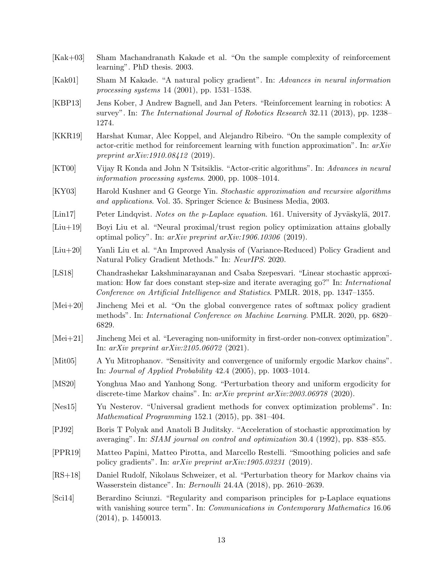- <span id="page-12-15"></span>[Kak+03] Sham Machandranath Kakade et al. "On the sample complexity of reinforcement learning". PhD thesis. 2003.
- <span id="page-12-3"></span>[Kak01] Sham M Kakade. "A natural policy gradient". In: Advances in neural information processing systems 14 (2001), pp. 1531–1538.
- <span id="page-12-0"></span>[KBP13] Jens Kober, J Andrew Bagnell, and Jan Peters. "Reinforcement learning in robotics: A survey". In: The International Journal of Robotics Research 32.11 (2013), pp. 1238– 1274.
- <span id="page-12-18"></span>[KKR19] Harshat Kumar, Alec Koppel, and Alejandro Ribeiro. "On the sample complexity of actor-critic method for reinforcement learning with function approximation". In:  $arXiv$ preprint arXiv:1910.08412 (2019).
- <span id="page-12-14"></span>[KT00] Vijay R Konda and John N Tsitsiklis. "Actor-critic algorithms". In: Advances in neural information processing systems. 2000, pp. 1008–1014.
- <span id="page-12-8"></span>[KY03] Harold Kushner and G George Yin. Stochastic approximation and recursive algorithms and applications. Vol. 35. Springer Science & Business Media, 2003.
- <span id="page-12-5"></span>[Lin17] Peter Lindqvist. Notes on the p-Laplace equation. 161. University of Jyväskylä, 2017.
- <span id="page-12-1"></span>[Liu+19] Boyi Liu et al. "Neural proximal/trust region policy optimization attains globally optimal policy". In: arXiv preprint arXiv:1906.10306 (2019).
- <span id="page-12-2"></span>[Liu+20] Yanli Liu et al. "An Improved Analysis of (Variance-Reduced) Policy Gradient and Natural Policy Gradient Methods." In: NeurIPS. 2020.
- <span id="page-12-9"></span>[LS18] Chandrashekar Lakshminarayanan and Csaba Szepesvari. "Linear stochastic approximation: How far does constant step-size and iterate averaging go?" In: International Conference on Artificial Intelligence and Statistics. PMLR. 2018, pp. 1347–1355.
- <span id="page-12-17"></span>[Mei+20] Jincheng Mei et al. "On the global convergence rates of softmax policy gradient methods". In: International Conference on Machine Learning. PMLR. 2020, pp. 6820– 6829.
- <span id="page-12-16"></span>[Mei+21] Jincheng Mei et al. "Leveraging non-uniformity in first-order non-convex optimization". In: arXiv preprint arXiv:2105.06072 (2021).
- <span id="page-12-11"></span>[Mit05] A Yu Mitrophanov. "Sensitivity and convergence of uniformly ergodic Markov chains". In: Journal of Applied Probability 42.4 (2005), pp. 1003–1014.
- <span id="page-12-13"></span>[MS20] Yonghua Mao and Yanhong Song. "Perturbation theory and uniform ergodicity for discrete-time Markov chains". In: arXiv preprint arXiv:2003.06978 (2020).
- <span id="page-12-10"></span>[Nes15] Yu Nesterov. "Universal gradient methods for convex optimization problems". In: Mathematical Programming 152.1 (2015), pp. 381–404.
- <span id="page-12-7"></span>[PJ92] Boris T Polyak and Anatoli B Juditsky. "Acceleration of stochastic approximation by averaging". In: SIAM journal on control and optimization 30.4 (1992), pp. 838–855.
- <span id="page-12-4"></span>[PPR19] Matteo Papini, Matteo Pirotta, and Marcello Restelli. "Smoothing policies and safe policy gradients". In: arXiv preprint arXiv:1905.03231 (2019).
- <span id="page-12-12"></span>[RS+18] Daniel Rudolf, Nikolaus Schweizer, et al. "Perturbation theory for Markov chains via Wasserstein distance". In: Bernoulli 24.4A (2018), pp. 2610–2639.
- <span id="page-12-6"></span>[Sci14] Berardino Sciunzi. "Regularity and comparison principles for p-Laplace equations with vanishing source term". In: *Communications in Contemporary Mathematics* 16.06 (2014), p. 1450013.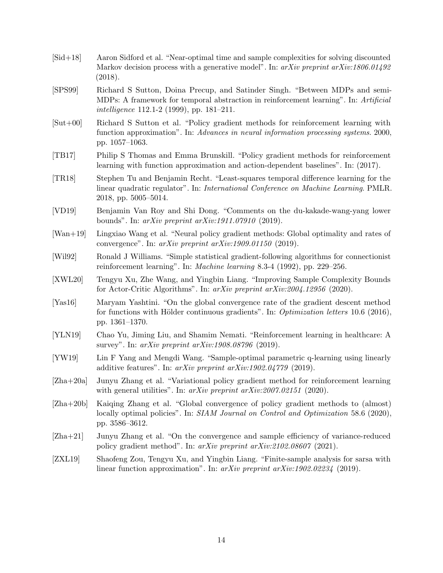- <span id="page-13-1"></span>[Sid+18] Aaron Sidford et al. "Near-optimal time and sample complexities for solving discounted Markov decision process with a generative model". In:  $arXiv$  preprint  $arXiv:1806.01492$ (2018).
- <span id="page-13-8"></span>[SPS99] Richard S Sutton, Doina Precup, and Satinder Singh. "Between MDPs and semi-MDPs: A framework for temporal abstraction in reinforcement learning". In: Artificial intelligence 112.1-2 (1999), pp. 181–211.
- <span id="page-13-10"></span>[Sut+00] Richard S Sutton et al. "Policy gradient methods for reinforcement learning with function approximation". In: Advances in neural information processing systems. 2000, pp. 1057–1063.
- <span id="page-13-14"></span>[TB17] Philip S Thomas and Emma Brunskill. "Policy gradient methods for reinforcement learning with function approximation and action-dependent baselines". In: (2017).
- <span id="page-13-9"></span>[TR18] Stephen Tu and Benjamin Recht. "Least-squares temporal difference learning for the linear quadratic regulator". In: International Conference on Machine Learning. PMLR. 2018, pp. 5005–5014.
- <span id="page-13-11"></span>[VD19] Benjamin Van Roy and Shi Dong. "Comments on the du-kakade-wang-yang lower bounds". In: arXiv preprint arXiv:1911.07910 (2019).
- <span id="page-13-15"></span>[Wan+19] Lingxiao Wang et al. "Neural policy gradient methods: Global optimality and rates of convergence". In: arXiv preprint arXiv:1909.01150 (2019).
- <span id="page-13-7"></span>[Wil92] Ronald J Williams. "Simple statistical gradient-following algorithms for connectionist reinforcement learning". In: Machine learning 8.3-4 (1992), pp. 229–256.
- <span id="page-13-3"></span>[XWL20] Tengyu Xu, Zhe Wang, and Yingbin Liang. "Improving Sample Complexity Bounds for Actor-Critic Algorithms". In: arXiv preprint arXiv:2004.12956 (2020).
- <span id="page-13-6"></span>[Yas16] Maryam Yashtini. "On the global convergence rate of the gradient descent method for functions with Hölder continuous gradients". In: *Optimization letters* 10.6 (2016), pp. 1361–1370.
- <span id="page-13-0"></span>[YLN19] Chao Yu, Jiming Liu, and Shamim Nemati. "Reinforcement learning in healthcare: A survey". In: *arXiv preprint arXiv:1908.08796* (2019).
- <span id="page-13-2"></span>[YW19] Lin F Yang and Mengdi Wang. "Sample-optimal parametric q-learning using linearly additive features". In: arXiv preprint arXiv:1902.04779 (2019).
- <span id="page-13-12"></span>[Zha+20a] Junyu Zhang et al. "Variational policy gradient method for reinforcement learning with general utilities". In: arXiv preprint arXiv:2007.02151 (2020).
- <span id="page-13-5"></span>[Zha+20b] Kaiqing Zhang et al. "Global convergence of policy gradient methods to (almost) locally optimal policies". In: SIAM Journal on Control and Optimization 58.6 (2020), pp. 3586–3612.
- <span id="page-13-13"></span>[Zha+21] Junyu Zhang et al. "On the convergence and sample efficiency of variance-reduced policy gradient method". In: arXiv preprint arXiv:2102.08607 (2021).
- <span id="page-13-4"></span>[ZXL19] Shaofeng Zou, Tengyu Xu, and Yingbin Liang. "Finite-sample analysis for sarsa with linear function approximation". In: arXiv preprint arXiv:1902.02234 (2019).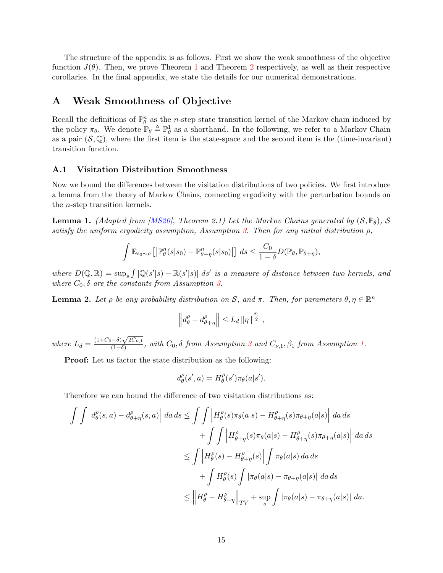The structure of the appendix is as follows. First we show the weak smoothness of the objective function  $J(\theta)$ . Then, we prove Theorem [1](#page-6-0) and Theorem [2](#page-7-1) respectively, as well as their respective corollaries. In the final appendix, we state the details for our numerical demonstrations.

# A Weak Smoothness of Objective

Recall the definitions of  $\mathbb{P}_{\theta}^n$  as the *n*-step state transition kernel of the Markov chain induced by the policy  $\pi_{\theta}$ . We denote  $\mathbb{P}_{\theta} \triangleq \mathbb{P}_{\theta}^1$  as a shorthand. In the following, we refer to a Markov Chain as a pair  $(\mathcal{S}, \mathbb{Q})$ , where the first item is the state-space and the second item is the (time-invariant) transition function.

#### A.1 Visitation Distribution Smoothness

Now we bound the differences between the visitation distributions of two policies. We first introduce a lemma from the theory of Markov Chains, connecting ergodicity with the perturbation bounds on the n-step transition kernels.

<span id="page-14-0"></span>**Lemma 1.** (Adapted from [\[MS20\]](#page-12-13), Theorem 2.1) Let the Markov Chains generated by  $(S, \mathbb{P}_{\theta})$ , S satisfy the uniform ergodicity assumption, Assumption [3.](#page-3-1) Then for any initial distribution  $\rho$ ,

$$
\int \mathbb{E}_{s_0 \sim \rho} \left[ \left| \mathbb{P}_{\theta}^n(s|s_0) - \mathbb{P}_{\theta + \eta}^n(s|s_0) \right| \right] ds \leq \frac{C_0}{1 - \delta} D(\mathbb{P}_{\theta}, \mathbb{P}_{\theta + \eta}),
$$

where  $D(\mathbb{Q}, \mathbb{R}) = \sup_s \int |\mathbb{Q}(s'|s) - \mathbb{R}(s'|s)| ds'$  is a measure of distance between two kernels, and where  $C_0$ ,  $\delta$  are the constants from Assumption [3.](#page-3-1)

<span id="page-14-1"></span>**Lemma 2.** Let  $\rho$  be any probability distribution on S, and  $\pi$ . Then, for parameters  $\theta, \eta \in \mathbb{R}^n$ 

$$
\left\|d_{\theta}^{\rho}-d_{\theta+\eta}^{\rho}\right\|\leq L_d \left\|\eta\right\|^{\frac{\beta_1}{2}},
$$

where  $L_d = \frac{(1+C_0-\delta)\sqrt{2C_{\nu,1}}}{(1-\delta)}$  $\frac{(-\sigma)\sqrt{2C_{\nu,1}}}{(1-\delta)}$ , with  $C_0$ , δ from Assumption [3](#page-3-1) and  $C_{\nu,1}$ ,  $\beta_1$  from Assumption [1.](#page-2-1)

Proof: Let us factor the state distribution as the following:

$$
d^{\rho}_{\theta}(s',a) = H^{\rho}_{\theta}(s') \pi_{\theta}(a|s').
$$

Therefore we can bound the difference of two visitation distributions as:

$$
\int \int \left| d_{\theta}^{\rho}(s, a) - d_{\theta + \eta}^{\rho}(s, a) \right| \, da \, ds \leq \int \int \left| H_{\theta}^{\rho}(s) \pi_{\theta}(a|s) - H_{\theta + \eta}^{\rho}(s) \pi_{\theta + \eta}(a|s) \right| \, da \, ds
$$
  
+ 
$$
\int \int \left| H_{\theta + \eta}^{\rho}(s) \pi_{\theta}(a|s) - H_{\theta + \eta}^{\rho}(s) \pi_{\theta + \eta}(a|s) \right| \, da \, ds
$$
  

$$
\leq \int \left| H_{\theta}^{\rho}(s) - H_{\theta + \eta}^{\rho}(s) \right| \int \pi_{\theta}(a|s) \, da \, ds
$$
  
+ 
$$
\int H_{\theta}^{\rho}(s) \int |\pi_{\theta}(a|s) - \pi_{\theta + \eta}(a|s)| \, da \, ds
$$
  

$$
\leq \left\| H_{\theta}^{\rho} - H_{\theta + \eta}^{\rho} \right\|_{TV} + \sup_{s} \int |\pi_{\theta}(a|s) - \pi_{\theta + \eta}(a|s)| \, da.
$$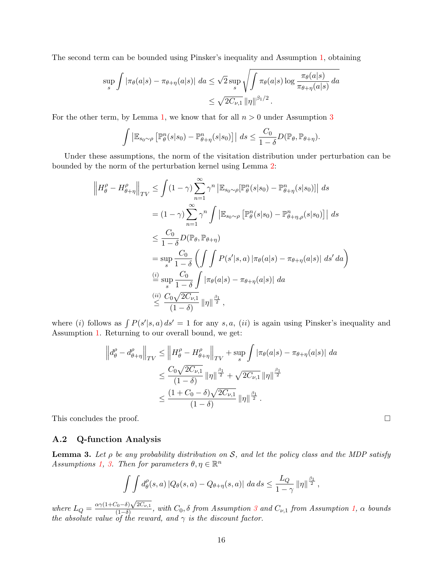The second term can be bounded using Pinsker's inequality and Assumption [1,](#page-2-1) obtaining

$$
\sup_{s} \int |\pi_{\theta}(a|s) - \pi_{\theta + \eta}(a|s)| \, da \le \sqrt{2} \sup_{s} \sqrt{\int \pi_{\theta}(a|s) \log \frac{\pi_{\theta}(a|s)}{\pi_{\theta + \eta}(a|s)} \, da}
$$
  

$$
\le \sqrt{2C_{\nu,1}} \, \|\eta\|^{\beta_1/2} \, .
$$

For the other term, by Lemma [1,](#page-14-0) we know that for all  $n > 0$  under Assumption [3](#page-3-1)

$$
\int \left| \mathbb{E}_{s_0 \sim \rho} \left[ \mathbb{P}_{\theta}^n(s|s_0) - \mathbb{P}_{\theta + \eta}^n(s|s_0) \right] \right| \ ds \leq \frac{C_0}{1 - \delta} D(\mathbb{P}_{\theta}, \mathbb{P}_{\theta + \eta}).
$$

Under these assumptions, the norm of the visitation distribution under perturbation can be bounded by the norm of the perturbation kernel using Lemma [2:](#page-14-1)

$$
\left\| H_{\theta}^{\rho} - H_{\theta+\eta}^{\rho} \right\|_{TV} \leq \int (1-\gamma) \sum_{n=1}^{\infty} \gamma^{n} \left| \mathbb{E}_{s_0 \sim \rho} [\mathbb{P}_{\theta}^{n}(s|s_0) - \mathbb{P}_{\theta+\eta}^{n}(s|s_0)] \right| ds
$$
  
\n
$$
= (1-\gamma) \sum_{n=1}^{\infty} \gamma^{n} \int \left| \mathbb{E}_{s_0 \sim \rho} [\mathbb{P}_{\theta}^{n}(s|s_0) - \mathbb{P}_{\theta+\eta,\rho}^{n}(s|s_0)] \right| ds
$$
  
\n
$$
\leq \frac{C_0}{1-\delta} D(\mathbb{P}_{\theta}, \mathbb{P}_{\theta+\eta})
$$
  
\n
$$
= \sup_{s} \frac{C_0}{1-\delta} \int \int P(s'|s, a) |\pi_{\theta}(a|s) - \pi_{\theta+\eta}(a|s)| ds' da
$$
  
\n
$$
\stackrel{(i)}{=} \sup_{s} \frac{C_0}{1-\delta} \int |\pi_{\theta}(a|s) - \pi_{\theta+\eta}(a|s)| da
$$
  
\n
$$
\stackrel{(ii)}{=} \frac{C_0 \sqrt{2C_{\nu,1}}}{(1-\delta)} ||\eta||^{\frac{\beta_1}{2}},
$$

where (i) follows as  $\int P(s'|s, a) ds' = 1$  for any s, a, (ii) is again using Pinsker's inequality and Assumption [1.](#page-2-1) Returning to our overall bound, we get:

$$
\left\| d_{\theta}^{\rho} - d_{\theta+\eta}^{\rho} \right\|_{TV} \leq \left\| H_{\theta}^{\rho} - H_{\theta+\eta}^{\rho} \right\|_{TV} + \sup_{s} \int |\pi_{\theta}(a|s) - \pi_{\theta+\eta}(a|s)| \, da
$$
  

$$
\leq \frac{C_0 \sqrt{2C_{\nu,1}}}{(1-\delta)} \left\| \eta \right\|^{\frac{\beta_1}{2}} + \sqrt{2C_{\nu,1}} \left\| \eta \right\|^{\frac{\beta_1}{2}}
$$
  

$$
\leq \frac{(1+C_0-\delta)\sqrt{2C_{\nu,1}}}{(1-\delta)} \left\| \eta \right\|^{\frac{\beta_1}{2}}.
$$

This concludes the proof.  $\Box$ 

### A.2 Q-function Analysis

<span id="page-15-0"></span>**Lemma 3.** Let  $\rho$  be any probability distribution on S, and let the policy class and the MDP satisfy Assumptions [1,](#page-2-1) [3.](#page-3-1) Then for parameters  $\theta, \eta \in \mathbb{R}^n$ 

$$
\int \int d_{\theta}^{\rho}(s,a) |Q_{\theta}(s,a) - Q_{\theta+\eta}(s,a)| da ds \leq \frac{L_Q}{1-\gamma} ||\eta||^{\frac{\beta_1}{2}},
$$

where  $L_Q = \frac{\alpha \gamma (1 + C_0 - \delta) \sqrt{2C_{\nu,1}}}{(1 - \delta)}$  $\frac{(1-\delta)\sqrt{2C\nu_{\nu,1}}}{(1-\delta)}$ , with  $C_0$ ,  $\delta$  from Assumption [3](#page-3-1) and  $C_{\nu,1}$  from Assumption [1,](#page-2-1)  $\alpha$  bounds the absolute value of the reward, and  $\gamma$  is the discount factor.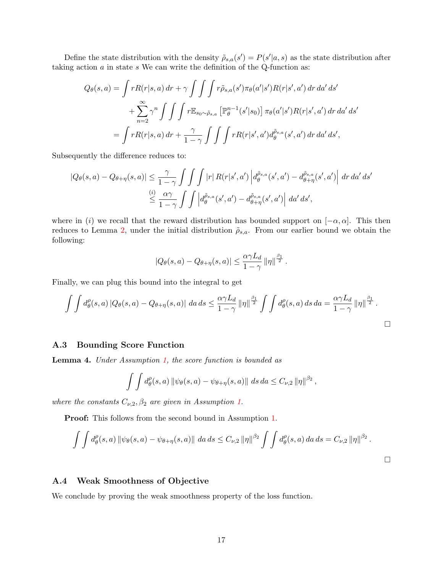Define the state distribution with the density  $\tilde{\rho}_{s,a}(s') = P(s'|a,s)$  as the state distribution after taking action  $a$  in state  $s$ . We can write the definition of the Q-function as:

$$
Q_{\theta}(s,a) = \int rR(r|s,a) dr + \gamma \int \int \int r \tilde{\rho}_{s,a}(s') \pi_{\theta}(a'|s')R(r|s',a') dr da' ds'
$$
  
+ 
$$
\sum_{n=2}^{\infty} \gamma^{n} \int \int \int r \mathbb{E}_{s_0 \sim \tilde{\rho}_{s,a}} \left[ \mathbb{P}_{\theta}^{n-1}(s'|s_0) \right] \pi_{\theta}(a'|s')R(r|s',a') dr da' ds'
$$
  
= 
$$
\int rR(r|s,a) dr + \frac{\gamma}{1-\gamma} \int \int \int rR(r|s',a')d_{\theta}^{\tilde{\rho}_{s,a}}(s',a') dr da' ds',
$$

Subsequently the difference reduces to:

$$
|Q_{\theta}(s, a) - Q_{\theta + \eta}(s, a)| \leq \frac{\gamma}{1 - \gamma} \int \int \int |r| R(r|s', a') \left| d_{\theta}^{\tilde{\rho}_{s, a}}(s', a') - d_{\theta + \eta}^{\tilde{\rho}_{s, a}}(s', a') \right| dr \, da' \, ds' \n\leq \frac{\omega}{1 - \gamma} \int \int \left| d_{\theta}^{\tilde{\rho}_{s, a}}(s', a') - d_{\theta + \eta}^{\tilde{\rho}_{s, a}}(s', a') \right| \, da' \, ds',
$$

where in (i) we recall that the reward distribution has bounded support on  $[-\alpha, \alpha]$ . This then reduces to Lemma [2,](#page-14-1) under the initial distribution  $\tilde{\rho}_{s,a}$ . From our earlier bound we obtain the following:

$$
|Q_{\theta}(s, a) - Q_{\theta + \eta}(s, a)| \leq \frac{\alpha \gamma L_d}{1 - \gamma} ||\eta||^{\frac{\beta_1}{2}}.
$$

Finally, we can plug this bound into the integral to get

$$
\int \int d_{\theta}^{\rho}(s,a) \left| Q_{\theta}(s,a) - Q_{\theta+\eta}(s,a) \right| \, da \, ds \leq \frac{\alpha \gamma L_d}{1-\gamma} \left\| \eta \right\|^{\frac{\beta_1}{2}} \int \int d_{\theta}^{\rho}(s,a) \, ds \, da = \frac{\alpha \gamma L_d}{1-\gamma} \left\| \eta \right\|^{\frac{\beta_1}{2}}.
$$

#### A.3 Bounding Score Function

Lemma 4. Under Assumption [1,](#page-2-1) the score function is bounded as

$$
\int \int d_{\theta}^{\rho}(s, a) \left\| \psi_{\theta}(s, a) - \psi_{\theta + \eta}(s, a) \right\| \, ds \, da \leq C_{\nu, 2} \left\| \eta \right\|^{ \beta_{2} },
$$

where the constants  $C_{\nu,2}, \beta_2$  are given in Assumption [1.](#page-2-1)

Proof: This follows from the second bound in Assumption [1.](#page-2-1)

$$
\int \int d_{\theta}^{\rho}(s, a) \|\psi_{\theta}(s, a) - \psi_{\theta + \eta}(s, a)\| \, da \, ds \leq C_{\nu, 2} \|\eta\|^{3} \int \int d_{\theta}^{\rho}(s, a) \, da \, ds = C_{\nu, 2} \|\eta\|^{3}.
$$

### A.4 Weak Smoothness of Objective

We conclude by proving the weak smoothness property of the loss function.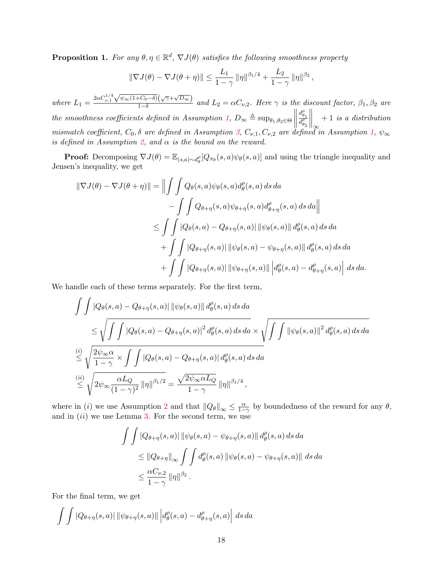<span id="page-17-0"></span>**Proposition 1.** For any  $\theta, \eta \in \mathbb{R}^d$ ,  $\nabla J(\theta)$  satisfies the following smoothness property

$$
\|\nabla J(\theta) - \nabla J(\theta + \eta)\| \le \frac{L_1}{1 - \gamma} \|\eta\|^{\beta_1/4} + \frac{L_2}{1 - \gamma} \|\eta\|^{\beta_2},
$$

where  $L_1 = \frac{2\alpha C_{\nu,1}^{1/4}}{2}$ √  $\overline{\psi_{\infty}(1+C_0-\delta)}(\sqrt{\gamma}+\sqrt{D_{\infty}})$  $\frac{1-\delta}{1-\delta}$  and  $L_2 = \alpha C_{\nu,2}$ . Here  $\gamma$  is the discount factor,  $\beta_1, \beta_2$  are the smoothness coefficients defined in Assumption [1,](#page-2-1)  $D_{\infty} \triangleq \sup_{\theta_1, \theta_2 \in \Theta} \left\| D_{\theta_1}$  $d_{\theta_1}^{\rho}$  $\overline{d_{\theta_2}^{\rho}}$  $\Big\|_{\infty}$ + 1 is a distribution mismatch coefficient,  $C_0$ ,  $\delta$  are defined in Assumption [3,](#page-3-1)  $C_{\nu,1}$ ,  $C_{\nu,2}$  are defined in Assumption [1,](#page-2-1)  $\psi_{\infty}$ is defined in Assumption [2,](#page-3-0) and  $\alpha$  is the bound on the reward.

**Proof:** Decomposing  $\nabla J(\theta) = \mathbb{E}_{(s,a)\sim d_{\theta}^{\rho}}[Q_{\pi_{\theta}}(s,a)\psi_{\theta}(s,a)]$  and using the triangle inequality and Jensen's inequality, we get

$$
\|\nabla J(\theta) - \nabla J(\theta + \eta)\| = \left\|\int \int Q_{\theta}(s, a)\psi_{\theta}(s, a)d_{\theta}^{\rho}(s, a) ds da - \int \int Q_{\theta + \eta}(s, a)\psi_{\theta + \eta}(s, a)d_{\theta + \eta}^{\rho}(s, a) ds da\right\|
$$
  

$$
\leq \int \int |Q_{\theta}(s, a) - Q_{\theta + \eta}(s, a)| \|\psi_{\theta}(s, a)\| d_{\theta}^{\rho}(s, a) ds da
$$
  

$$
+ \int \int |Q_{\theta + \eta}(s, a)| \|\psi_{\theta}(s, a) - \psi_{\theta + \eta}(s, a)\| d_{\theta}^{\rho}(s, a) ds da
$$
  

$$
+ \int \int |Q_{\theta + \eta}(s, a)| \|\psi_{\theta + \eta}(s, a)\| d_{\theta}^{\rho}(s, a) - d_{\theta + \eta}^{\rho}(s, a) \Big| ds da.
$$

We handle each of these terms separately. For the first term,

$$
\int \int |Q_{\theta}(s, a) - Q_{\theta + \eta}(s, a)| \|\psi_{\theta}(s, a)\| d_{\theta}^{\rho}(s, a) ds da
$$
\n
$$
\leq \sqrt{\int \int |Q_{\theta}(s, a) - Q_{\theta + \eta}(s, a)|^{2} d_{\theta}^{\rho}(s, a) ds da} \times \sqrt{\int \int \|\psi_{\theta}(s, a)\|^{2} d_{\theta}^{\rho}(s, a) ds da}
$$
\n
$$
\stackrel{(i)}{\leq} \sqrt{\frac{2\psi_{\infty} \alpha}{1 - \gamma}} \times \int \int |Q_{\theta}(s, a) - Q_{\theta + \eta}(s, a)| d_{\theta}^{\rho}(s, a) ds da
$$
\n
$$
\stackrel{(ii)}{\leq} \sqrt{2\psi_{\infty} \frac{\alpha L_{Q}}{(1 - \gamma)^{2}} \|\eta\|^{\beta_{1}/2}} = \frac{\sqrt{2\psi_{\infty} \alpha L_{Q}}}{1 - \gamma} \|\eta\|^{\beta_{1}/4},
$$

where in (i) we use Assumption [2](#page-3-0) and that  $||Q_\theta||_{\infty} \leq \frac{\alpha}{1-\gamma}$  by boundedness of the reward for any  $\theta$ , and in  $(ii)$  we use Lemma [3.](#page-15-0) For the second term, we use

$$
\int \int |Q_{\theta+\eta}(s,a)| \|\psi_{\theta}(s,a) - \psi_{\theta+\eta}(s,a)\| d^{\rho}_{\theta}(s,a) ds da
$$
  
\n
$$
\leq \|Q_{\theta+\eta}\|_{\infty} \int \int d^{\rho}_{\theta}(s,a) \|\psi_{\theta}(s,a) - \psi_{\theta+\eta}(s,a)\| ds da
$$
  
\n
$$
\leq \frac{\alpha C_{\nu,2}}{1-\gamma} \|\eta\|^{\beta_2} .
$$

For the final term, we get

$$
\int \int |Q_{\theta+\eta}(s,a)| \, ||\psi_{\theta+\eta}(s,a)|| \, d^{\rho}_{\theta}(s,a) - d^{\rho}_{\theta+\eta}(s,a) \, ds \, da
$$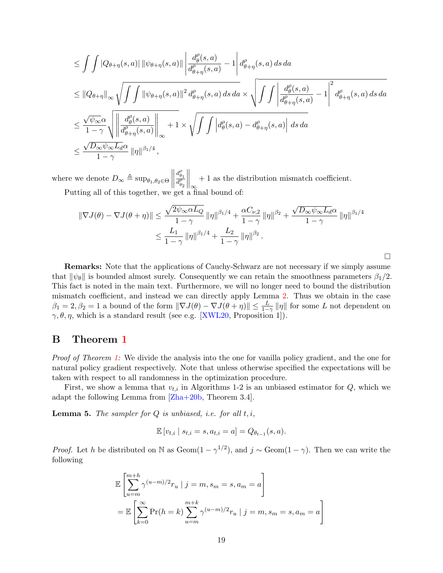$$
\leq \int \int |Q_{\theta+\eta}(s, a)| \, \|\psi_{\theta+\eta}(s, a)\| \, \left| \frac{d_{\theta}^{\rho}(s, a)}{d_{\theta+\eta}^{\rho}(s, a)} - 1 \right| d_{\theta+\eta}^{\rho}(s, a) \, ds \, da
$$
\n
$$
\leq \|Q_{\theta+\eta}\|_{\infty} \sqrt{\int \int \|\psi_{\theta+\eta}(s, a)\|^{2} d_{\theta+\eta}^{\rho}(s, a) \, ds \, da} \times \sqrt{\int \int \left| \frac{d_{\theta}^{\rho}(s, a)}{d_{\theta+\eta}^{\rho}(s, a)} - 1 \right|^{2} d_{\theta+\eta}^{\rho}(s, a) \, ds \, da}
$$
\n
$$
\leq \frac{\sqrt{\psi_{\infty}} \alpha}{1 - \gamma} \sqrt{\left| \left| \frac{d_{\theta}^{\rho}(s, a)}{d_{\theta+\eta}^{\rho}(s, a)} \right| \right|_{\infty}} + 1 \times \sqrt{\int \int \left| d_{\theta}^{\rho}(s, a) - d_{\theta+\eta}^{\rho}(s, a) \right| \, ds \, da}
$$
\n
$$
\leq \frac{\sqrt{D_{\infty}} \psi_{\infty} L_{d} \alpha}{1 - \gamma} \, \|\eta\|^{\beta_{1}/4} \,,
$$

where we denote  $D_{\infty} \triangleq \sup_{\theta_1, \theta_2 \in \Theta} \left\| D_{\theta} \right\|$  $d_{\theta_1}^{\rho}$  $\overline{d_{\theta_2}^{\rho}}$  $\Big\|_{\infty}$ + 1 as the distribution mismatch coefficient. Putting all of this together, we get a final bound of:

$$
\|\nabla J(\theta) - \nabla J(\theta + \eta)\| \leq \frac{\sqrt{2\psi_{\infty}\alpha L_Q}}{1 - \gamma} \|\eta\|^{\beta_1/4} + \frac{\alpha C_{\nu,2}}{1 - \gamma} \|\eta\|^{\beta_2} + \frac{\sqrt{D_{\infty}\psi_{\infty}L_d\alpha}}{1 - \gamma} \|\eta\|^{\beta_1/4}
$$

$$
\leq \frac{L_1}{1 - \gamma} \|\eta\|^{\beta_1/4} + \frac{L_2}{1 - \gamma} \|\eta\|^{\beta_2}.
$$

 $\Box$ 

Remarks: Note that the applications of Cauchy-Schwarz are not necessary if we simply assume that  $\|\psi_\theta\|$  is bounded almost surely. Consequently we can retain the smoothness parameters  $\beta_1/2$ . This fact is noted in the main text. Furthermore, we will no longer need to bound the distribution mismatch coefficient, and instead we can directly apply Lemma [2.](#page-14-1) Thus we obtain in the case  $\beta_1 = 2, \beta_2 = 1$  a bound of the form  $\|\nabla J(\theta) - \nabla J(\theta + \eta)\| \le \frac{L}{1-\gamma} \| \eta \|$  for some L not dependent on  $\gamma, \theta, \eta$ , which is a standard result (see e.g. [\[XWL20,](#page-13-3) Proposition 1]).

# B Theorem [1](#page-6-0)

Proof of Theorem [1:](#page-6-0) We divide the analysis into the one for vanilla policy gradient, and the one for natural policy gradient respectively. Note that unless otherwise specified the expectations will be taken with respect to all randomness in the optimization procedure.

First, we show a lemma that  $v_{t,i}$  in Algorithms 1-2 is an unbiased estimator for  $Q$ , which we adapt the following Lemma from [\[Zha+20b,](#page-13-5) Theorem 3.4].

**Lemma 5.** The sampler for  $Q$  is unbiased, i.e. for all  $t, i$ ,

$$
\mathbb{E}[v_{t,i} | s_{t,i} = s, a_{t,i} = a] = Q_{\theta_{t-1}}(s,a).
$$

*Proof.* Let h be distributed on N as Geom $(1 - \gamma^{1/2})$ , and  $j \sim \text{Geom}(1 - \gamma)$ . Then we can write the following

$$
\mathbb{E}\left[\sum_{u=m}^{m+h} \gamma^{(u-m)/2} r_u \mid j=m, s_m=s, a_m=a\right]
$$
  
= 
$$
\mathbb{E}\left[\sum_{k=0}^{\infty} \Pr(h=k) \sum_{u=m}^{m+k} \gamma^{(u-m)/2} r_u \mid j=m, s_m=s, a_m=a\right]
$$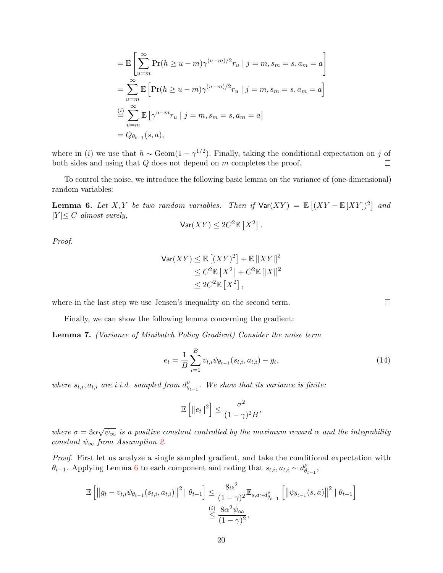$$
= \mathbb{E}\left[\sum_{u=m}^{\infty} \Pr(h \ge u - m)\gamma^{(u-m)/2}r_u \mid j = m, s_m = s, a_m = a\right]
$$
  
= 
$$
\sum_{u=m}^{\infty} \mathbb{E}\left[\Pr(h \ge u - m)\gamma^{(u-m)/2}r_u \mid j = m, s_m = s, a_m = a\right]
$$
  

$$
\stackrel{(i)}{=} \sum_{u=m}^{\infty} \mathbb{E}\left[\gamma^{u-m}r_u \mid j = m, s_m = s, a_m = a\right]
$$
  
= 
$$
Q_{\theta_{t-1}}(s, a),
$$

where in (i) we use that  $h \sim \text{Geom}(1-\gamma^{1/2})$ . Finally, taking the conditional expectation on j of both sides and using that Q does not depend on m completes the proof.  $\Box$ 

To control the noise, we introduce the following basic lemma on the variance of (one-dimensional) random variables:

<span id="page-19-0"></span>**Lemma 6.** Let X, Y be two random variables. Then if  $\text{Var}(XY) = \mathbb{E}[(XY - \mathbb{E}[XY])^2]$  and  $|Y| \leq C$  almost surely,

$$
\mathsf{Var}(XY) \leq 2C^2 \mathbb{E}\left[X^2\right].
$$

Proof.

$$
\begin{aligned} \text{Var}(XY) &\leq \mathbb{E}\left[ (XY)^2 \right] + \mathbb{E}\left[ |XY| \right]^2 \\ &\leq C^2 \mathbb{E}\left[ X^2 \right] + C^2 \mathbb{E}\left[ |X| \right]^2 \\ &\leq 2C^2 \mathbb{E}\left[ X^2 \right], \end{aligned}
$$

where in the last step we use Jensen's inequality on the second term.

Finally, we can show the following lemma concerning the gradient:

Lemma 7. (Variance of Minibatch Policy Gradient) Consider the noise term

$$
e_t = \frac{1}{B} \sum_{i=1}^{B} v_{t,i} \psi_{\theta_{t-1}}(s_{t,i}, a_{t,i}) - g_t,
$$
\n(14)

where  $s_{t,i}, a_{t,i}$  are i.i.d. sampled from  $d_{\theta}^{\rho}$  $\overset{\rho}{\theta}_{t-1}$ . We show that its variance is finite:

$$
\mathbb{E}\left[\left\|e_t\right\|^2\right] \leq \frac{\sigma^2}{(1-\gamma)^2B},\
$$

where  $\sigma = 3\alpha$ √  $\overline{\psi_{\infty}}$  is a positive constant controlled by the maximum reward  $\alpha$  and the integrability constant  $\psi_{\infty}$  from Assumption [2.](#page-3-0)

Proof. First let us analyze a single sampled gradient, and take the conditional expectation with  $\theta_{t-1}$ . Applying Lemma [6](#page-19-0) to each component and noting that  $s_{t,i}$ ,  $a_{t,i} \sim d_{\theta}^{\rho}$  $_{\theta_{t-1}}^{\rho},$ 

$$
\mathbb{E}\left[\left\|g_t - v_{t,i}\psi_{\theta_{t-1}}(s_{t,i}, a_{t,i})\right\|^2 \mid \theta_{t-1}\right] \leq \frac{8\alpha^2}{(1-\gamma)^2} \mathbb{E}_{s,a \sim d_{\theta_{t-1}}^{\rho}}\left[\left\|\psi_{\theta_{t-1}}(s,a)\right\|^2 \mid \theta_{t-1}\right]
$$

$$
\overset{(i)}{\leq} \frac{8\alpha^2 \psi_{\infty}}{(1-\gamma)^2},
$$

<span id="page-19-1"></span> $\Box$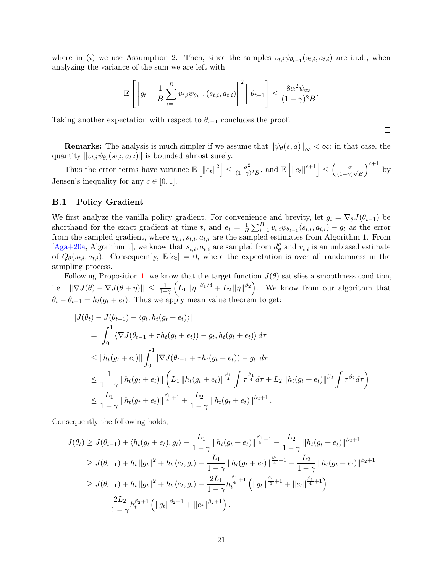where in (i) we use Assumption 2. Then, since the samples  $v_{t,i} \psi_{\theta_{t-1}}(s_{t,i}, a_{t,i})$  are i.i.d., when analyzing the variance of the sum we are left with

$$
\mathbb{E}\left[\left\|g_t - \frac{1}{B}\sum_{i=1}^B v_{t,i}\psi_{\theta_{t-1}}(s_{t,i}, a_{t,i})\right\|^2 \middle| \theta_{t-1}\right] \leq \frac{8\alpha^2\psi_{\infty}}{(1-\gamma)^2B}.
$$

Taking another expectation with respect to  $\theta_{t-1}$  concludes the proof.

**Remarks:** The analysis is much simpler if we assume that  $\|\psi_{\theta}(s, a)\|_{\infty} < \infty$ ; in that case, the quantity  $||v_{t,i}\psi_{\theta_t}(s_{t,i}, a_{t,i})||$  is bounded almost surely.

 $\Box$ 

Thus the error terms have variance  $\mathbb{E}\left[\left\|e_t\right\|^2\right] \leq \frac{\sigma^2}{(1-\gamma)^2}$  $\frac{\sigma^2}{(1-\gamma)^2B}$ , and  $\mathbb{E}\left[\left\|e_t\right\|^{c+1}\right] \leq \left(\frac{\sigma}{(1-\gamma)^2}\right)$  $\frac{\sigma}{(1-\gamma)\sqrt{B}}$  $\int_{0}^{c+1}$  by Jensen's inequality for any  $c \in [0, 1]$ .

#### B.1 Policy Gradient

We first analyze the vanilla policy gradient. For convenience and brevity, let  $g_t = \nabla_{\theta} J(\theta_{t-1})$  be shorthand for the exact gradient at time t, and  $e_t = \frac{1}{B}$  $\frac{1}{B}\sum_{i=1}^B v_{t,i}\psi_{\theta_{t-1}}(s_{t,i},a_{t,i}) - g_t$  as the error from the sampled gradient, where  $v_{t,i}$ ,  $s_{t,i}$ ,  $a_{t,i}$  are the sampled estimates from Algorithm 1. From [\[Aga+20a,](#page-11-1) Algorithm 1], we know that  $s_{t,i}$ ,  $a_{t,i}$  are sampled from  $d_{\theta}^{\rho}$  $\theta_{\theta}$  and  $v_{t,i}$  is an unbiased estimate of  $Q_{\theta}(s_{t,i}, a_{t,i})$ . Consequently,  $\mathbb{E}[e_t] = 0$ , where the expectation is over all randomness in the sampling process.

Following Proposition [1,](#page-17-0) we know that the target function  $J(\theta)$  satisfies a smoothness condition, i.e.  $\|\nabla J(\theta) - \nabla J(\theta + \eta)\| \le \frac{1}{1-\gamma} \left( L_1 \|\eta\|^{\beta_1/4} + L_2 \|\eta\|^{\beta_2} \right)$ . We know from our algorithm that  $\theta_t - \theta_{t-1} = h_t(g_t + e_t)$ . Thus we apply mean value theorem to get:

$$
|J(\theta_t) - J(\theta_{t-1}) - \langle g_t, h_t(g_t + e_t) \rangle|
$$
  
\n
$$
= \left| \int_0^1 \langle \nabla J(\theta_{t-1} + \tau h_t(g_t + e_t)) - g_t, h_t(g_t + e_t) \rangle d\tau \right|
$$
  
\n
$$
\leq ||h_t(g_t + e_t)|| \int_0^1 |\nabla J(\theta_{t-1} + \tau h_t(g_t + e_t)) - g_t| d\tau
$$
  
\n
$$
\leq \frac{1}{1 - \gamma} ||h_t(g_t + e_t)|| \left( L_1 ||h_t(g_t + e_t)||^{\frac{\beta_1}{4}} \int \tau^{\frac{\beta_1}{4}} d\tau + L_2 ||h_t(g_t + e_t)||^{\beta_2} \int \tau^{\beta_2} d\tau \right)
$$
  
\n
$$
\leq \frac{L_1}{1 - \gamma} ||h_t(g_t + e_t)||^{\frac{\beta_1}{4} + 1} + \frac{L_2}{1 - \gamma} ||h_t(g_t + e_t)||^{\beta_2 + 1}.
$$

Consequently the following holds,

$$
J(\theta_t) \geq J(\theta_{t-1}) + \langle h_t(g_t + e_t), g_t \rangle - \frac{L_1}{1 - \gamma} \|h_t(g_t + e_t)\|_{\frac{\beta_1}{4}}^{\frac{\beta_1}{4} + 1} - \frac{L_2}{1 - \gamma} \|h_t(g_t + e_t)\|_{\frac{\beta_2 + 1}{4}}
$$
  
\n
$$
\geq J(\theta_{t-1}) + h_t \|g_t\|^2 + h_t \langle e_t, g_t \rangle - \frac{L_1}{1 - \gamma} \|h_t(g_t + e_t)\|_{\frac{\beta_1}{4}}^{\frac{\beta_1}{4} + 1} - \frac{L_2}{1 - \gamma} \|h_t(g_t + e_t)\|_{\frac{\beta_2 + 1}{4}}
$$
  
\n
$$
\geq J(\theta_{t-1}) + h_t \|g_t\|^2 + h_t \langle e_t, g_t \rangle - \frac{2L_1}{1 - \gamma} h_t^{\frac{\beta_1}{4} + 1} \left( \|g_t\|_{\frac{\beta_1}{4}}^{\frac{\beta_1}{4} + 1} + \|e_t\|_{\frac{\beta_1}{4}}^{ \frac{\beta_1}{4} + 1} \right)
$$
  
\n
$$
- \frac{2L_2}{1 - \gamma} h_t^{\beta_2 + 1} \left( \|g_t\|_{\frac{\beta_2 + 1}{4}} + \|e_t\|_{\frac{\beta_2 + 1}{4}} \right).
$$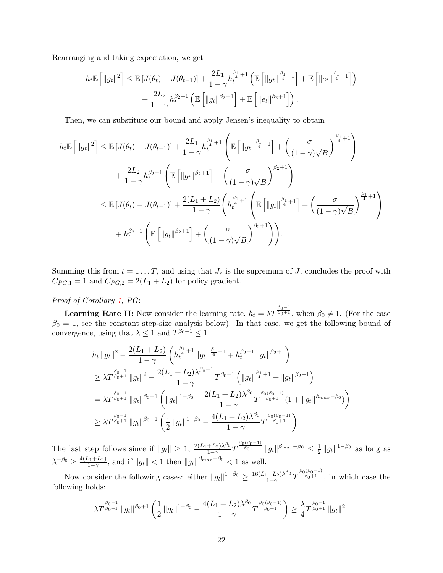Rearranging and taking expectation, we get

$$
h_t \mathbb{E}\left[\|g_t\|^2\right] \leq \mathbb{E}\left[J(\theta_t) - J(\theta_{t-1})\right] + \frac{2L_1}{1-\gamma} h_t^{\frac{\beta_1}{4}+1} \left(\mathbb{E}\left[\|g_t\|^{\frac{\beta_1}{4}+1}\right] + \mathbb{E}\left[\|e_t\|^{\frac{\beta_1}{4}+1}\right]\right) + \frac{2L_2}{1-\gamma} h_t^{\beta_2+1} \left(\mathbb{E}\left[\|g_t\|^{\beta_2+1}\right] + \mathbb{E}\left[\|e_t\|^{\beta_2+1}\right]\right).
$$

Then, we can substitute our bound and apply Jensen's inequality to obtain

$$
h_t \mathbb{E} \left[ ||g_t||^2 \right] \leq \mathbb{E} \left[ J(\theta_t) - J(\theta_{t-1}) \right] + \frac{2L_1}{1-\gamma} h_t^{\frac{\beta_1}{4}+1} \left( \mathbb{E} \left[ ||g_t||^{\frac{\beta_1}{4}+1} \right] + \left( \frac{\sigma}{(1-\gamma)\sqrt{B}} \right)^{\frac{\beta_1}{4}+1} \right)
$$
  
+ 
$$
\frac{2L_2}{1-\gamma} h_t^{\beta_2+1} \left( \mathbb{E} \left[ ||g_t||^{\beta_2+1} \right] + \left( \frac{\sigma}{(1-\gamma)\sqrt{B}} \right)^{\beta_2+1} \right)
$$
  

$$
\leq \mathbb{E} \left[ J(\theta_t) - J(\theta_{t-1}) \right] + \frac{2(L_1 + L_2)}{1-\gamma} \left( h_t^{\frac{\beta_1}{4}+1} \left( \mathbb{E} \left[ ||g_t||^{\frac{\beta_1}{4}+1} \right] + \left( \frac{\sigma}{(1-\gamma)\sqrt{B}} \right)^{\frac{\beta_1}{4}+1} \right) \right)
$$
  
+ 
$$
h_t^{\beta_2+1} \left( \mathbb{E} \left[ ||g_t||^{\beta_2+1} \right] + \left( \frac{\sigma}{(1-\gamma)\sqrt{B}} \right)^{\beta_2+1} \right).
$$

Summing this from  $t = 1 \dots T$ , and using that  $J_*$  is the supremum of J, concludes the proof with  $C_{PG,1} = 1$  and  $C_{PG,2} = 2(L_1 + L_2)$  for policy gradient.

# Proof of Corollary [1,](#page-7-0) PG:

**Learning Rate II:** Now consider the learning rate,  $h_t = \lambda T^{\frac{\beta_0 - 1}{\beta_0 + 1}}$ , when  $\beta_0 \neq 1$ . (For the case  $\beta_0 = 1$ , see the constant step-size analysis below). In that case, we get the following bound of convergence, using that  $\lambda \leq 1$  and  $T^{\beta_0 - 1} \leq 1$ 

$$
h_t \|g_t\|^2 - \frac{2(L_1 + L_2)}{1 - \gamma} \left( h_t^{\frac{\beta_1}{4} + 1} \|g_t\|^{\frac{\beta_1}{4} + 1} + h_t^{\beta_2 + 1} \|g_t\|^{\beta_2 + 1} \right)
$$
  
\n
$$
\geq \lambda T^{\frac{\beta_0 - 1}{\beta_0 + 1}} \|g_t\|^2 - \frac{2(L_1 + L_2)\lambda^{\beta_0 + 1}}{1 - \gamma} T^{\beta_0 - 1} \left( \|g_t\|^{\frac{\beta_1}{4} + 1} + \|g_t\|^{\beta_2 + 1} \right)
$$
  
\n
$$
= \lambda T^{\frac{\beta_0 - 1}{\beta_0 + 1}} \|g_t\|^{\beta_0 + 1} \left( \|g_t\|^{1 - \beta_0} - \frac{2(L_1 + L_2)\lambda^{\beta_0}}{1 - \gamma} T^{\frac{\beta_0(\beta_0 - 1)}{\beta_0 + 1}} (1 + \|g_t\|^{\beta_{max} - \beta_0}) \right)
$$
  
\n
$$
\geq \lambda T^{\frac{\beta_0 - 1}{\beta_0 + 1}} \|g_t\|^{\beta_0 + 1} \left( \frac{1}{2} \|g_t\|^{1 - \beta_0} - \frac{4(L_1 + L_2)\lambda^{\beta_0}}{1 - \gamma} T^{\frac{\beta_0(\beta_0 - 1)}{\beta_0 + 1}} \right).
$$

The last step follows since if  $||g_t|| \geq 1$ ,  $\frac{2(L_1+L_2)\lambda^{\beta_0}}{1-\gamma}$  $\frac{+L_{2})\lambda^{\beta_{0}}}{1-\gamma}T^{\frac{\beta_{0}(\beta_{0}-1)}{\beta_{0}+1}}\left\Vert g_{t}\right\Vert ^{\beta_{max}-\beta_{0}}\leq\frac{1}{2}$  $\frac{1}{2} \|g_t\|^{1-\beta_0}$  as long as  $\lambda^{-\beta_0} \geq \frac{4(L_1+L_2)}{1-\gamma}$  $\frac{\sum_{i=1}^{k}L_{2}}{1-\gamma}$ , and if  $||g_t|| < 1$  then  $||g_t||^{\beta_{max}-\beta_0} < 1$  as well.

Now consider the following cases: either  $||g_t||^{1-\beta_0} \geq \frac{16(L_1+L_2)\lambda^{\beta_0}}{1+\gamma}$  $\frac{(1+L_2)\lambda^{\beta_0}}{1+\gamma}T^{\frac{\beta_0(\beta_0-1)}{\beta_0+1}},$  in which case the following holds:

$$
\lambda T^{\frac{\beta_0-1}{\beta_0+1}}\left\|g_t\right\|^{\beta_0+1}\left(\frac{1}{2}\left\|g_t\right\|^{1-\beta_0}-\frac{4(L_1+L_2)\lambda^{\beta_0}}{1-\gamma}T^{\frac{\beta_0(\beta_0-1)}{\beta_0+1}}\right)\geq \frac{\lambda}{4}T^{\frac{\beta_0-1}{\beta_0+1}}\left\|g_t\right\|^2,
$$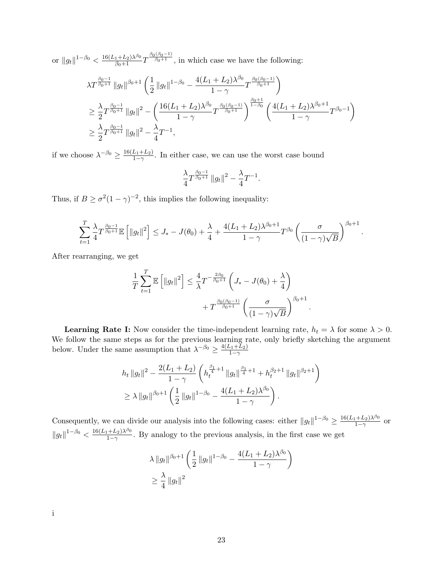or  $||g_t||^{1-\beta_0} < \frac{16(L_1+L_2)\lambda^{\beta_0}}{\beta_0+1}T^{\frac{\beta_0(\beta_0-1)}{\beta_0+1}}$ , in which case we have the following:

$$
\lambda T^{\frac{\beta_0 - 1}{\beta_0 + 1}} \|g_t\|^{ \beta_0 + 1} \left( \frac{1}{2} \|g_t\|^{1 - \beta_0} - \frac{4(L_1 + L_2) \lambda^{\beta_0}}{1 - \gamma} T^{\frac{\beta_0(\beta_0 - 1)}{\beta_0 + 1}} \right)
$$
  
\n
$$
\geq \frac{\lambda}{2} T^{\frac{\beta_0 - 1}{\beta_0 + 1}} \|g_t\|^2 - \left( \frac{16(L_1 + L_2) \lambda^{\beta_0}}{1 - \gamma} T^{\frac{\beta_0(\beta_0 - 1)}{\beta_0 + 1}} \right)^{\frac{\beta_0 + 1}{1 - \beta_0}} \left( \frac{4(L_1 + L_2) \lambda^{\beta_0 + 1}}{1 - \gamma} T^{\beta_0 - 1} \right)
$$
  
\n
$$
\geq \frac{\lambda}{2} T^{\frac{\beta_0 - 1}{\beta_0 + 1}} \|g_t\|^2 - \frac{\lambda}{4} T^{-1},
$$

if we choose  $\lambda^{-\beta_0} \geq \frac{16(L_1 + L_2)}{1-\gamma}$  $\frac{L_1+L_2}{1-\gamma}$ . In either case, we can use the worst case bound

$$
\frac{\lambda}{4}T^{\frac{\beta_0-1}{\beta_0+1}}\, \|g_t\|^2 - \frac{\lambda}{4}T^{-1}.
$$

Thus, if  $B \ge \sigma^2 (1 - \gamma)^{-2}$ , this implies the following inequality:

$$
\sum_{t=1}^T \frac{\lambda}{4} T^{\frac{\beta_0 - 1}{\beta_0 + 1}} \mathbb{E} \left[ \|g_t\|^2 \right] \leq J_* - J(\theta_0) + \frac{\lambda}{4} + \frac{4(L_1 + L_2) \lambda^{\beta_0 + 1}}{1 - \gamma} T^{\beta_0} \left( \frac{\sigma}{(1 - \gamma) \sqrt{B}} \right)^{\beta_0 + 1}.
$$

After rearranging, we get

$$
\frac{1}{T} \sum_{t=1}^{T} \mathbb{E} \left[ \|g_t\|^2 \right] \le \frac{4}{\lambda} T^{-\frac{2\beta_0}{\beta_0 + 1}} \left( J_* - J(\theta_0) + \frac{\lambda}{4} \right) + T^{\frac{\beta_0(\beta_0 - 1)}{\beta_0 + 1}} \left( \frac{\sigma}{(1 - \gamma)\sqrt{B}} \right)^{\beta_0 + 1}
$$

.

**Learning Rate I:** Now consider the time-independent learning rate,  $h_t = \lambda$  for some  $\lambda > 0$ . We follow the same steps as for the previous learning rate, only briefly sketching the argument below. Under the same assumption that  $\lambda^{-\beta_0} \geq \frac{4(L_1 + \bar{L}_2)}{1-\gamma}$  $\overline{1-\gamma}$ 

$$
h_t \|g_t\|^2 - \frac{2(L_1 + L_2)}{1 - \gamma} \left( h_t^{\frac{\beta_1}{4} + 1} \|g_t\|^{\frac{\beta_1}{4} + 1} + h_t^{\beta_2 + 1} \|g_t\|^{\beta_2 + 1} \right)
$$
  

$$
\geq \lambda \|g_t\|^{\beta_0 + 1} \left( \frac{1}{2} \|g_t\|^{1 - \beta_0} - \frac{4(L_1 + L_2)\lambda^{\beta_0}}{1 - \gamma} \right).
$$

Consequently, we can divide our analysis into the following cases: either  $||g_t||^{1-\beta_0} \ge \frac{16(L_1+L_2)\lambda^{\beta_0}}{1-\gamma}$  $\frac{1+L_2\lambda^{\sigma}\nu}{1-\gamma}$  or  $||g_t||^{1-\beta_0} < \frac{16(L_1+L_2)\lambda^{\beta_0}}{1-\gamma}$  $\frac{1+2}{1-\gamma}$ . By analogy to the previous analysis, in the first case we get

$$
\lambda \|g_t\|_{\rho^{6+1}} \left( \frac{1}{2} \|g_t\|_{\rho^{6-1}} - \frac{4(L_1 + L_2)\lambda_{\rho^{6}}}{1 - \gamma} \right)
$$
  

$$
\geq \frac{\lambda}{4} \|g_t\|^2
$$

i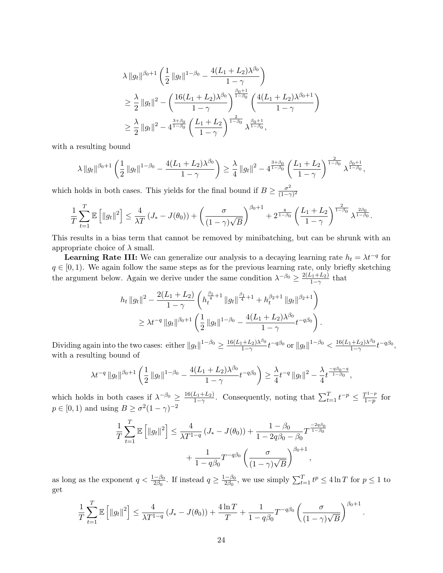$$
\lambda \|g_t\|^{ \beta_0 + 1 } \left( \frac{1}{2} \|g_t\|^{1-\beta_0} - \frac{4(L_1 + L_2)\lambda^{\beta_0}}{1-\gamma} \right)
$$
  
\n
$$
\geq \frac{\lambda}{2} \|g_t\|^2 - \left( \frac{16(L_1 + L_2)\lambda^{\beta_0}}{1-\gamma} \right)^{\frac{\beta_0 + 1}{1-\beta_0}} \left( \frac{4(L_1 + L_2)\lambda^{\beta_0 + 1}}{1-\gamma} \right)
$$
  
\n
$$
\geq \frac{\lambda}{2} \|g_t\|^2 - 4^{\frac{3+\beta_0}{1-\beta_0}} \left( \frac{L_1 + L_2}{1-\gamma} \right)^{\frac{2}{1-\beta_0}} \lambda^{\frac{\beta_0 + 1}{1-\beta_0}},
$$

with a resulting bound

$$
\lambda \|g_t\|^{ \beta_0+1} \left( \frac{1}{2} \|g_t\|^{1-\beta_0} - \frac{4(L_1+L_2)\lambda^{\beta_0}}{1-\gamma} \right) \geq \frac{\lambda}{4} \|g_t\|^2 - 4^{\frac{3+\beta_0}{1-\beta_0}} \left( \frac{L_1+L_2}{1-\gamma} \right)^{\frac{2}{1-\beta_0}} \lambda^{\frac{\beta_0+1}{1-\beta_0}},
$$

which holds in both cases. This yields for the final bound if  $B \geq \frac{\sigma^2}{(1-\sigma)^2}$  $\overline{(1-\gamma)^2}$ 

$$
\frac{1}{T}\sum_{t=1}^T \mathbb{E}\left[\|g_t\|^2\right] \le \frac{4}{\lambda T} \left(J_* - J(\theta_0)\right) + \left(\frac{\sigma}{(1-\gamma)\sqrt{B}}\right)^{\beta_0+1} + 2^{\frac{8}{1-\beta_0}} \left(\frac{L_1+L_2}{1-\gamma}\right)^{\frac{2}{1-\beta_0}} \lambda^{\frac{2\beta_0}{1-\beta_0}}.
$$

This results in a bias term that cannot be removed by minibatching, but can be shrunk with an appropriate choice of  $\lambda$  small.

**Learning Rate III:** We can generalize our analysis to a decaying learning rate  $h_t = \lambda t^{-q}$  for  $q \in [0, 1)$ . We again follow the same steps as for the previous learning rate, only briefly sketching the argument below. Again we derive under the same condition  $\lambda^{-\beta_0} \geq \frac{2(L_1 + L_2)}{1 - \gamma}$  $\frac{\sqrt{1+L_2}}{1-\gamma}$  that

$$
h_t \|g_t\|^2 - \frac{2(L_1 + L_2)}{1 - \gamma} \left( h_t^{\frac{\beta_1}{4} + 1} \|g_t\|^{\frac{\beta_1}{4} + 1} + h_t^{\beta_2 + 1} \|g_t\|^{\beta_2 + 1} \right)
$$
  

$$
\geq \lambda t^{-q} \|g_t\|^{\beta_0 + 1} \left( \frac{1}{2} \|g_t\|^{1 - \beta_0} - \frac{4(L_1 + L_2)\lambda^{\beta_0}}{1 - \gamma} t^{-q\beta_0} \right).
$$

Dividing again into the two cases: either  $||g_t||^{1-\beta_0} \ge \frac{16(L_1+L_2)\lambda^{\beta_0}}{1-\gamma}$  $\frac{1+L_2\lambda^{\beta_0}}{1-\gamma}t^{-q\beta_0}\text{ or }\|g_t\|^{1-\beta_0}<\frac{16(L_1+L_2)\lambda^{\beta_0}}{1-\gamma}$  $\frac{1+L_2\lambda^{\rho_0}}{1-\gamma}t^{-q\beta_0},$ with a resulting bound of

$$
\lambda t^{-q} \|g_t\|_{\beta_0+1} \left(\frac{1}{2} \|g_t\|_{\beta_0} - \frac{4(L_1+L_2)\lambda_{\beta_0}}{1-\gamma} t^{-q\beta_0}\right) \ge \frac{\lambda}{4} t^{-q} \|g_t\|^2 - \frac{\lambda}{4} t^{\frac{-q\beta_0-q}{1-\beta_0}},
$$

which holds in both cases if  $\lambda^{-\beta_0} \geq \frac{16(L_1+L_2)}{1-\gamma}$  $\frac{L_1+L_2}{1-\gamma}$ . Consequently, noting that  $\sum_{t=1}^T t^{-p} \leq \frac{T^{1-p}}{1-p}$  $\frac{p^{1-p}}{1-p}$  for  $p \in [0, 1)$  and using  $B \ge \sigma^2 (1 - \gamma)^{-2}$ 

$$
\frac{1}{T} \sum_{t=1}^{T} \mathbb{E} \left[ \|g_t\|^2 \right] \le \frac{4}{\lambda T^{1-q}} \left( J_* - J(\theta_0) \right) + \frac{1 - \beta_0}{1 - 2q\beta_0 - \beta_0} T^{\frac{-2q\beta_0}{1-\beta_0}} + \frac{1}{1 - q\beta_0} T^{-q\beta_0} \left( \frac{\sigma}{(1 - \gamma)\sqrt{B}} \right)^{\beta_0 + 1},
$$

as long as the exponent  $q < \frac{1-\beta_0}{2\beta_0}$ . If instead  $q \ge \frac{1-\beta_0}{2\beta_0}$  $\frac{-\beta_0}{2\beta_0}$ , we use simply  $\sum_{t=1}^T t^p \le 4\ln T$  for  $p \le 1$  to get

$$
\frac{1}{T}\sum_{t=1}^T \mathbb{E}\left[\|g_t\|^2\right] \le \frac{4}{\lambda T^{1-q}}\left(J_* - J(\theta_0)\right) + \frac{4\ln T}{T} + \frac{1}{1-q\beta_0}T^{-q\beta_0}\left(\frac{\sigma}{(1-\gamma)\sqrt{B}}\right)^{\beta_0+1}.
$$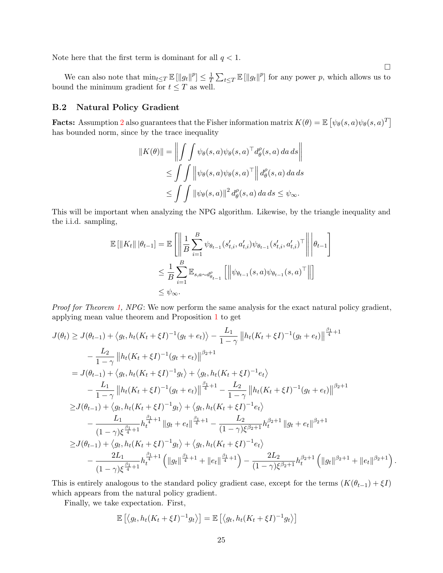Note here that the first term is dominant for all  $q < 1$ .

We can also note that  $\min_{t\leq T} \mathbb{E} \left[ ||g_t||^p \right] \leq \frac{1}{T}$  $\frac{1}{T} \sum_{t \leq T} \mathbb{E} \left[ ||g_t||^p \right]$  for any power p, which allows us to bound the minimum gradient for  $t \leq T$  as well.

 $\Box$ 

### B.2 Natural Policy Gradient

**Facts:** Assumption [2](#page-3-0) also guarantees that the Fisher information matrix  $K(\theta) = \mathbb{E} \left[ \psi_{\theta}(s, a) \psi_{\theta}(s, a)^{T} \right]$ has bounded norm, since by the trace inequality

$$
||K(\theta)|| = \left\| \int \int \psi_{\theta}(s, a) \psi_{\theta}(s, a)^{\top} d_{\theta}^{\rho}(s, a) da ds \right\|
$$
  
\n
$$
\leq \int \int \left\| \psi_{\theta}(s, a) \psi_{\theta}(s, a)^{\top} \right\| d_{\theta}^{\rho}(s, a) da ds
$$
  
\n
$$
\leq \int \int ||\psi_{\theta}(s, a)||^{2} d_{\theta}^{\rho}(s, a) da ds \leq \psi_{\infty}.
$$

This will be important when analyzing the NPG algorithm. Likewise, by the triangle inequality and the i.i.d. sampling,

$$
\mathbb{E} [\|K_t\| \|\theta_{t-1}] = \mathbb{E} \left[ \left\| \frac{1}{B} \sum_{i=1}^B \psi_{\theta_{t-1}}(s'_{t,i}, a'_{t,i}) \psi_{\theta_{t-1}}(s'_{t,i}, a'_{t,i})^\top \right\| \Big| \theta_{t-1} \right]
$$
  

$$
\leq \frac{1}{B} \sum_{i=1}^B \mathbb{E}_{s, a \sim d_{\theta_{t-1}}^{\rho}} [\left\| \psi_{\theta_{t-1}}(s, a) \psi_{\theta_{t-1}}(s, a)^\top \right\|]
$$
  

$$
\leq \psi_{\infty}.
$$

Proof for Theorem [1,](#page-6-0) NPG: We now perform the same analysis for the exact natural policy gradient, applying mean value theorem and Proposition [1](#page-17-0) to get

$$
J(\theta_t) \geq J(\theta_{t-1}) + \langle g_t, h_t(K_t + \xi I)^{-1}(g_t + e_t) \rangle - \frac{L_1}{1-\gamma} \left\| h_t(K_t + \xi I)^{-1}(g_t + e_t) \right\|^{\frac{\beta_1}{4}+1}
$$
  
\n
$$
- \frac{L_2}{1-\gamma} \left\| h_t(K_t + \xi I)^{-1}(g_t + e_t) \right\|^{\beta_2+1}
$$
  
\n
$$
= J(\theta_{t-1}) + \langle g_t, h_t(K_t + \xi I)^{-1} g_t \rangle + \langle g_t, h_t(K_t + \xi I)^{-1} e_t \rangle
$$
  
\n
$$
- \frac{L_1}{1-\gamma} \left\| h_t(K_t + \xi I)^{-1}(g_t + e_t) \right\|^{\frac{\beta_1}{4}+1} - \frac{L_2}{1-\gamma} \left\| h_t(K_t + \xi I)^{-1}(g_t + e_t) \right\|^{\beta_2+1}
$$
  
\n
$$
\geq J(\theta_{t-1}) + \langle g_t, h_t(K_t + \xi I)^{-1} g_t \rangle + \langle g_t, h_t(K_t + \xi I)^{-1} e_t \rangle
$$
  
\n
$$
- \frac{L_1}{(1-\gamma)\xi^{\frac{\beta_1}{4}+1}} h_t^{\frac{\beta_1}{4}+1} \left\| g_t + e_t \right\|^{\frac{\beta_1}{4}+1} - \frac{L_2}{(1-\gamma)\xi^{\beta_2+1}} h_t^{\beta_2+1} \left\| g_t + e_t \right\|^{\beta_2+1}
$$
  
\n
$$
\geq J(\theta_{t-1}) + \langle g_t, h_t(K_t + \xi I)^{-1} g_t \rangle + \langle g_t, h_t(K_t + \xi I)^{-1} e_t \rangle
$$
  
\n
$$
- \frac{2L_1}{(1-\gamma)\xi^{\frac{\beta_1}{4}+1}} h_t^{\frac{\beta_1}{4}+1} \left( \| g_t \|^{\frac{\beta_1}{4}+1} + \| e_t \|^{\frac{\beta_1}{4}+1} \right) - \frac{2L_2}{(1-\gamma)\xi^{\beta_2+1}} h_t^{\beta_2+1} \left( \| g_t \|^{\beta_2+1} + \| e_t \|^{\beta_2+1} \right).
$$

This is entirely analogous to the standard policy gradient case, except for the terms  $(K(\theta_{t-1}) + \xi I)$ which appears from the natural policy gradient.

Finally, we take expectation. First,

$$
\mathbb{E}\left[\langle g_t, h_t(K_t + \xi I)^{-1} g_t \rangle\right] = \mathbb{E}\left[\langle g_t, h_t(K_t + \xi I)^{-1} g_t \rangle\right]
$$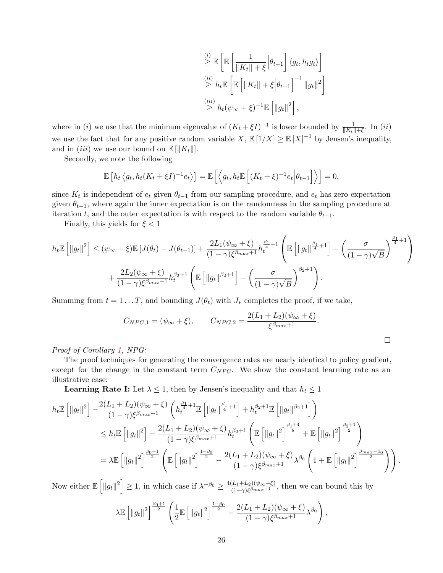$$
\stackrel{(i)}{\geq} \mathbb{E} \left[ \mathbb{E} \left[ \frac{1}{\|K_t\| + \xi} \Big| \theta_{t-1} \right] \langle g_t, h_t g_t \rangle \right]
$$
  
\n
$$
\stackrel{(ii)}{\geq} h_t \mathbb{E} \left[ \mathbb{E} \left[ \|K_t\| + \xi \Big| \theta_{t-1} \right]^{-1} \|g_t\|^2 \right]
$$
  
\n
$$
\stackrel{(iii)}{\geq} h_t (\psi_\infty + \xi)^{-1} \mathbb{E} \left[ \|g_t\|^2 \right],
$$

where in (i) we use that the minimum eigenvalue of  $(K_t + \xi I)^{-1}$  is lower bounded by  $\frac{1}{\|K_t\| + \xi}$ . In (ii) we use the fact that for any positive random variable  $X, \mathbb{E}[1/X] \geq \mathbb{E}[X]^{-1}$  by Jensen's inequality, and in *(iii)* we use our bound on  $\mathbb{E}[\Vert K_t \Vert].$ 

Secondly, we note the following

$$
\mathbb{E}\left[h_t\left\langle g_t, h_t(K_t+\xi I)^{-1}e_t\right\rangle\right] = \mathbb{E}\left[\left\langle g_t, h_t \mathbb{E}\left[(K_t+\xi)^{-1}e_t\Big|\theta_{t-1}\right]\right\rangle\right] = 0,
$$

since  $K_t$  is independent of  $e_t$  given  $\theta_{t-1}$  from our sampling procedure, and  $e_t$  has zero expectation given  $\theta_{t-1}$ , where again the inner expectation is on the randomness in the sampling procedure at iteration t, and the outer expectation is with respect to the random variable  $\theta_{t-1}$ .

Finally, this yields for  $\xi < 1$ 

$$
h_t \mathbb{E}\left[\|g_t\|^2\right] \leq (\psi_{\infty} + \xi) \mathbb{E}\left[J(\theta_t) - J(\theta_{t-1})\right] + \frac{2L_1(\psi_{\infty} + \xi)}{(1-\gamma)\xi^{\beta_{max}+1}} h_t^{\frac{\beta_1}{4}+1} \left(\mathbb{E}\left[\|g_t\|^{\frac{\beta_1}{4}+1}\right] + \left(\frac{\sigma}{(1-\gamma)\sqrt{B}}\right)^{\frac{\beta_1}{4}+1}\right) + \frac{2L_2(\psi_{\infty} + \xi)}{(1-\gamma)\xi^{\beta_{max}+1}} h_t^{\beta_2+1} \left(\mathbb{E}\left[\|g_t\|^{\beta_2+1}\right] + \left(\frac{\sigma}{(1-\gamma)\sqrt{B}}\right)^{\beta_2+1}\right).
$$

Summing from  $t = 1 \dots T$ , and bounding  $J(\theta_t)$  with  $J_*$  completes the proof, if we take,

$$
C_{NPG,1} = (\psi_{\infty} + \xi), \qquad C_{NPG,2} = \frac{2(L_1 + L_2)(\psi_{\infty} + \xi)}{\xi^{\beta_{max}+1}}.
$$

Proof of Corollary [1,](#page-7-0) NPG:

The proof techniques for generating the convergence rates are nearly identical to policy gradient, except for the change in the constant term  $C_{NPG}$ . We show the constant learning rate as an illustrative case:

**Learning Rate I:** Let  $\lambda \leq 1$ , then by Jensen's inequality and that  $h_t \leq 1$ 

$$
h_t \mathbb{E} \left[ ||g_t||^2 \right] - \frac{2(L_1 + L_2)(\psi_{\infty} + \xi)}{(1 - \gamma)\xi^{\beta_{max} + 1}} \left( h_t^{\frac{\beta_1}{4} + 1} \mathbb{E} \left[ ||g_t||^{\frac{\beta_1}{4} + 1} \right] + h_t^{\beta_2 + 1} \mathbb{E} \left[ ||g_t||^{\beta_2 + 1} \right] \right)
$$
  
\n
$$
\leq h_t \mathbb{E} \left[ ||g_t||^2 \right] - \frac{2(L_1 + L_2)(\psi_{\infty} + \xi)}{(1 - \gamma)\xi^{\beta_{max} + 1}} h_t^{\beta_0 + 1} \left( \mathbb{E} \left[ ||g_t||^2 \right]^{\frac{\beta_1 + 4}{8}} + \mathbb{E} \left[ ||g_t||^2 \right]^{\frac{\beta_2 + 1}{2}} \right)
$$
  
\n
$$
= \lambda \mathbb{E} \left[ ||g_t||^2 \right]^{\frac{\beta_0 + 1}{2}} \left( \mathbb{E} \left[ ||g_t||^2 \right]^{\frac{1 - \beta_0}{2}} - \frac{2(L_1 + L_2)(\psi_{\infty} + \xi)}{(1 - \gamma)\xi^{\beta_{max} + 1}} \lambda^{\beta_0} \left( 1 + \mathbb{E} \left[ ||g_t||^2 \right]^{\frac{\beta_{max} - \beta_0}{2}} \right) \right).
$$

Now either  $\mathbb{E}\left[\|g_t\|^2\right] \geq 1$ , in which case if  $\lambda^{-\beta_0} \geq \frac{4(L_1+L_2)(\psi_{\infty}+\xi)}{(1-\gamma)\xi\beta_{max}+1}$  $\frac{(L_1+L_2)(\psi_{\infty}+\xi)}{(1-\gamma)\xi^{\beta_{max}+1}}$ , then we can bound this by

$$
\lambda \mathbb{E} \left[ ||g_t||^2 \right]^{\frac{\beta_0 + 1}{2}} \left( \frac{1}{2} \mathbb{E} \left[ ||g_t||^2 \right]^{\frac{1 - \beta_0}{2}} - \frac{2(L_1 + L_2)(\psi_{\infty} + \xi)}{(1 - \gamma)\xi^{\beta_{max} + 1}} \lambda^{\beta_0} \right)
$$

,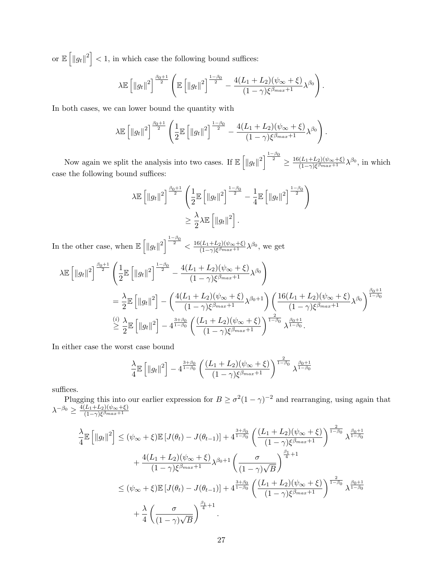or  $\mathbb{E}\left[\Vert g_t\Vert^2\right] < 1$ , in which case the following bound suffices:

$$
\lambda \mathbb{E}\left[\|g_t\|^2\right]^{\frac{\beta_0+1}{2}} \left(\mathbb{E}\left[\|g_t\|^2\right]^{\frac{1-\beta_0}{2}} - \frac{4(L_1+L_2)(\psi_{\infty}+\xi)}{(1-\gamma)\xi^{\beta_{max}+1}}\lambda^{\beta_0}\right).
$$

In both cases, we can lower bound the quantity with

$$
\lambda \mathbb{E} \left[ \|g_t\|^2 \right]^{\frac{\beta_0 + 1}{2}} \left( \frac{1}{2} \mathbb{E} \left[ \|g_t\|^2 \right]^{\frac{1 - \beta_0}{2}} - \frac{4(L_1 + L_2)(\psi_\infty + \xi)}{(1 - \gamma)\xi^{\beta_{max} + 1}} \lambda^{\beta_0} \right).
$$

Now again we split the analysis into two cases. If  $\mathbb{E} \left[ ||g_t||^2 \right]^{\frac{1-\beta_0}{2}} \geq \frac{16(L_1+L_2)(\psi_{\infty}+\xi)}{(1-\gamma)\xi\beta_{max}+1}$  $\frac{(L_1+L_2)(\psi_{\infty}+\xi)}{(1-\gamma)\xi^{\beta_{max}+1}}\lambda^{\beta_0}$ , in which case the following bound suffices:

$$
\lambda \mathbb{E} \left[ \|g_t\|^2 \right]^{\frac{\beta_0 + 1}{2}} \left( \frac{1}{2} \mathbb{E} \left[ \|g_t\|^2 \right]^{\frac{1 - \beta_0}{2}} - \frac{1}{4} \mathbb{E} \left[ \|g_t\|^2 \right]^{\frac{1 - \beta_0}{2}} \right)
$$
  

$$
\geq \frac{\lambda}{2} \lambda \mathbb{E} \left[ \|g_t\|^2 \right].
$$

In the other case, when  $\mathbb{E} \left[ \|g_t\|^2 \right]^{1-\beta_0} < \frac{16(L_1+L_2)(\psi_{\infty}+\xi)}{(1-\gamma)\xi\beta_{max}+1}$  $\frac{(L_1+L_2)(\psi_{\infty}+\xi)}{(1-\gamma)\xi^{\beta_{max}+1}}\lambda^{\beta_0}$ , we get

$$
\lambda \mathbb{E} \left[ \|g_t\|^2 \right]^{\frac{\beta_0 + 1}{2}} \left( \frac{1}{2} \mathbb{E} \left[ \|g_t\|^2 \right]^{\frac{1 - \beta_0}{2}} - \frac{4(L_1 + L_2)(\psi_\infty + \xi)}{(1 - \gamma)\xi^{\beta_{max} + 1}} \lambda^{\beta_0} \right)
$$
  
\n
$$
= \frac{\lambda}{2} \mathbb{E} \left[ \|g_t\|^2 \right] - \left( \frac{4(L_1 + L_2)(\psi_\infty + \xi)}{(1 - \gamma)\xi^{\beta_{max} + 1}} \lambda^{\beta_0 + 1} \right) \left( \frac{16(L_1 + L_2)(\psi_\infty + \xi)}{(1 - \gamma)\xi^{\beta_{max} + 1}} \lambda^{\beta_0} \right)^{\frac{\beta_0 + 1}{1 - \beta_0}}
$$
  
\n
$$
\geq \frac{\lambda}{2} \mathbb{E} \left[ \|g_t\|^2 \right] - 4^{\frac{3 + \beta_0}{1 - \beta_0}} \left( \frac{(L_1 + L_2)(\psi_\infty + \xi)}{(1 - \gamma)\xi^{\beta_{max} + 1}} \right)^{\frac{2}{1 - \beta_0}} \lambda^{\frac{\beta_0 + 1}{1 - \beta_0}}.
$$

In either case the worst case bound

$$
\frac{\lambda}{4} \mathbb{E} \left[ ||g_t||^2 \right] - 4^{\frac{3+\beta_0}{1-\beta_0}} \left( \frac{(L_1 + L_2)(\psi_{\infty} + \xi)}{(1-\gamma)\xi^{\beta_{max}+1}} \right)^{\frac{2}{1-\beta_0}} \lambda^{\frac{\beta_0+1}{1-\beta_0}}
$$

suffices.

Plugging this into our earlier expression for  $B \ge \sigma^2 (1 - \gamma)^{-2}$  and rearranging, using again that  $\lambda^{-\beta_0} \geq \frac{4(L_1+L_2)(\psi_\infty+\xi)}{(1-\alpha)\xi\beta_{max}+1}$  $(1-\gamma)$ ξ<sup>β</sup>max<sup>+1</sup>

$$
\frac{\lambda}{4} \mathbb{E} \left[ \|g_t\|^2 \right] \le (\psi_{\infty} + \xi) \mathbb{E} \left[ J(\theta_t) - J(\theta_{t-1}) \right] + 4^{\frac{3+\beta_0}{1-\beta_0}} \left( \frac{(L_1 + L_2)(\psi_{\infty} + \xi)}{(1 - \gamma)\xi^{\beta_{max}+1}} \right)^{\frac{2}{1-\beta_0}} \lambda^{\frac{\beta_0 + 1}{1-\beta_0}} \n+ \frac{4(L_1 + L_2)(\psi_{\infty} + \xi)}{(1 - \gamma)\xi^{\beta_{max}+1}} \lambda^{\beta_0 + 1} \left( \frac{\sigma}{(1 - \gamma)\sqrt{B}} \right)^{\frac{\beta_1}{4} + 1} \n\le (\psi_{\infty} + \xi) \mathbb{E} \left[ J(\theta_t) - J(\theta_{t-1}) \right] + 4^{\frac{3+\beta_0}{1-\beta_0}} \left( \frac{(L_1 + L_2)(\psi_{\infty} + \xi)}{(1 - \gamma)\xi^{\beta_{max}+1}} \right)^{\frac{2}{1-\beta_0}} \lambda^{\frac{\beta_0 + 1}{1-\beta_0}} \n+ \frac{\lambda}{4} \left( \frac{\sigma}{(1 - \gamma)\sqrt{B}} \right)^{\frac{\beta_1}{4} + 1}.
$$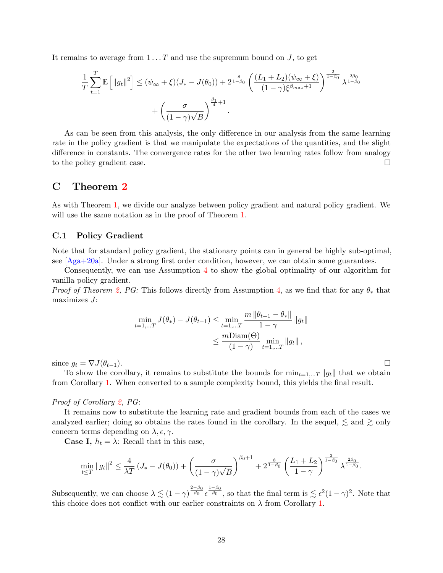It remains to average from  $1 \dots T$  and use the supremum bound on  $J$ , to get

$$
\frac{1}{T} \sum_{t=1}^{T} \mathbb{E} \left[ ||g_t||^2 \right] \leq (\psi_{\infty} + \xi)(J_{*} - J(\theta_0)) + 2^{\frac{8}{1-\beta_0}} \left( \frac{(L_1 + L_2)(\psi_{\infty} + \xi)}{(1-\gamma)\xi^{\beta_{max}+1}} \right)^{\frac{2}{1-\beta_0}} \lambda^{\frac{2\beta_0}{1-\beta_0}} + \left( \frac{\sigma}{(1-\gamma)\sqrt{B}} \right)^{\frac{\beta_1}{4}+1}.
$$

As can be seen from this analysis, the only difference in our analysis from the same learning rate in the policy gradient is that we manipulate the expectations of the quantities, and the slight difference in constants. The convergence rates for the other two learning rates follow from analogy to the policy gradient case.

# C Theorem [2](#page-7-1)

As with Theorem [1,](#page-6-0) we divide our analyze between policy gradient and natural policy gradient. We will use the same notation as in the proof of Theorem [1.](#page-6-0)

#### C.1 Policy Gradient

Note that for standard policy gradient, the stationary points can in general be highly sub-optimal, see [\[Aga+20a\]](#page-11-1). Under a strong first order condition, however, we can obtain some guarantees.

Consequently, we can use Assumption [4](#page-7-3) to show the global optimality of our algorithm for vanilla policy gradient.

*Proof of Theorem [2,](#page-7-1) PG:* This follows directly from Assumption [4,](#page-7-3) as we find that for any  $\theta_*$  that maximizes  $J$ :

$$
\min_{t=1,...T} J(\theta_*) - J(\theta_{t-1}) \le \min_{t=1,...T} \frac{m \|\theta_{t-1} - \theta_*\|}{1 - \gamma} \|g_t\|
$$
  

$$
\le \frac{m \text{Diam}(\Theta)}{(1 - \gamma)} \min_{t=1,...T} \|g_t\|,
$$

since  $g_t = \nabla J(\theta_{t-1}).$ 

To show the corollary, it remains to substitute the bounds for  $\min_{t=1,\dots,T} \|g_t\|$  that we obtain from Corollary [1.](#page-7-0) When converted to a sample complexity bound, this yields the final result.

#### Proof of Corollary [2,](#page-8-0) PG:

It remains now to substitute the learning rate and gradient bounds from each of the cases we analyzed earlier; doing so obtains the rates found in the corollary. In the sequel,  $\lesssim$  and  $\gtrsim$  only concern terms depending on  $\lambda$ ,  $\epsilon$ ,  $\gamma$ .

**Case I,**  $h_t = \lambda$ : Recall that in this case,

$$
\min_{t \leq T} \|g_t\|^2 \leq \frac{4}{\lambda T} \left( J_* - J(\theta_0) \right) + \left( \frac{\sigma}{(1 - \gamma) \sqrt{B}} \right)^{\beta_0 + 1} + 2^{\frac{8}{1 - \beta_0}} \left( \frac{L_1 + L_2}{1 - \gamma} \right)^{\frac{2}{1 - \beta_0}} \lambda^{\frac{2\beta_0}{1 - \beta_0}}.
$$

Subsequently, we can choose  $\lambda \lesssim (1-\gamma)^{\frac{2-\beta_0}{\beta_0}} \epsilon^{\frac{1-\beta_0}{\beta_0}},$  so that the final term is  $\lesssim \epsilon^2 (1-\gamma)^2$ . Note that this choice does not conflict with our earlier constraints on  $\lambda$  from Corollary [1.](#page-7-0)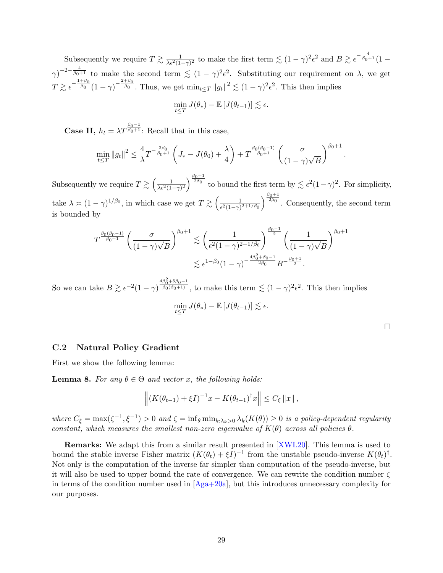Subsequently we require  $T \gtrsim \frac{1}{\lambda \epsilon^2 (1-\gamma)^2}$  to make the first term  $\lesssim (1-\gamma)^2 \epsilon^2$  and  $B \gtrsim \epsilon^{-\frac{4}{\beta_0+1}} (1-\gamma)^2$  $(\gamma)^{-2-\frac{4}{\beta_0+1}}$  to make the second term  $\lesssim (1-\gamma)^2 \epsilon^2$ . Substituting our requirement on  $\lambda$ , we get  $T \gtrsim \epsilon^{-\frac{1+\beta_0}{\beta_0}}(1-\gamma)^{-\frac{2+\beta_0}{\beta_0}}$ . Thus, we get  $\min_{t \leq T} ||g_t||^2 \lesssim (1-\gamma)^2 \epsilon^2$ . This then implies

$$
\min_{t \leq T} J(\theta_*) - \mathbb{E} \left[ J(\theta_{t-1}) \right] \lesssim \epsilon.
$$

**Case II,**  $h_t = \lambda T^{\frac{\beta_0 - 1}{\beta_0 + 1}}$ : Recall that in this case,

$$
\min_{t \leq T} \|g_t\|^2 \leq \frac{4}{\lambda} T^{-\frac{2\beta_0}{\beta_0 + 1}} \left( J_* - J(\theta_0) + \frac{\lambda}{4} \right) + T^{\frac{\beta_0(\beta_0 - 1)}{\beta_0 + 1}} \left( \frac{\sigma}{(1 - \gamma)\sqrt{B}} \right)^{\beta_0 + 1}
$$

Subsequently we require  $T \gtrsim \left(\frac{1}{\lambda \epsilon^2 (1-\gamma)^2}\right)^{\frac{\beta_0+1}{2\beta_0}}$  to bound the first term by  $\lesssim \epsilon^2 (1-\gamma)^2$ . For simplicity, take  $\lambda \approx (1 - \gamma)^{1/\beta_0}$ , in which case we get  $T \gtrsim \left(\frac{1}{e^{2(1 - \alpha)}}\right)$  $\frac{1}{\epsilon^2(1-\gamma)^{2+1/\beta_0}}\right)^{\frac{\beta_0+1}{2\beta_0}}$ . Consequently, the second term is bounded by

$$
T^{\frac{\beta_0(\beta_0-1)}{\beta_0+1}} \left(\frac{\sigma}{(1-\gamma)\sqrt{B}}\right)^{\beta_0+1} \lesssim \left(\frac{1}{\epsilon^2(1-\gamma)^{2+1/\beta_0}}\right)^{\frac{\beta_0-1}{2}} \left(\frac{1}{(1-\gamma)\sqrt{B}}\right)^{\beta_0+1} \lesssim \epsilon^{1-\beta_0}(1-\gamma)^{-\frac{4\beta_0^2+\beta_0-1}{2\beta_0}} B^{-\frac{\beta_0+1}{2}}.
$$

So we can take  $B \gtrsim \epsilon^{-2} (1-\gamma)^{\frac{4\beta_0^2 + 5\beta_0 - 1}{\beta_0(\beta_0 + 1)}}$ , to make this term  $\lesssim (1 - \gamma)^2 \epsilon^2$ . This then implies

$$
\min_{t\leq T} J(\theta_*) - \mathbb{E}\left[J(\theta_{t-1})\right] \lesssim \epsilon.
$$

.

#### C.2 Natural Policy Gradient

First we show the following lemma:

<span id="page-28-0"></span>**Lemma 8.** For any  $\theta \in \Theta$  and vector x, the following holds:

$$
\left\| (K(\theta_{t-1}) + \xi I)^{-1} x - K(\theta_{t-1})^{\dagger} x \right\| \le C_{\xi} \|x\|,
$$

where  $C_{\xi} = \max(\zeta^{-1}, \xi^{-1}) > 0$  and  $\zeta = \inf_{\theta} \min_{k:\lambda_k>0} \lambda_k(K(\theta)) \geq 0$  is a policy-dependent regularity constant, which measures the smallest non-zero eigenvalue of  $K(\theta)$  across all policies  $\theta$ .

Remarks: We adapt this from a similar result presented in [\[XWL20\]](#page-13-3). This lemma is used to bound the stable inverse Fisher matrix  $(K(\theta_t) + \xi I)^{-1}$  from the unstable pseudo-inverse  $K(\theta_t)^{\dagger}$ . Not only is the computation of the inverse far simpler than computation of the pseudo-inverse, but it will also be used to upper bound the rate of convergence. We can rewrite the condition number  $\zeta$ in terms of the condition number used in  $[A<sub>ga</sub>+20a]$ , but this introduces unnecessary complexity for our purposes.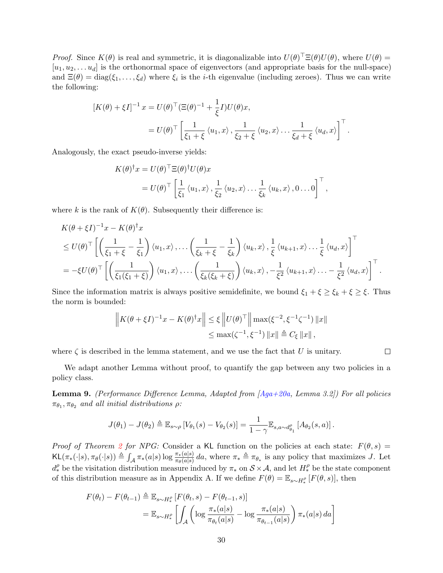*Proof.* Since  $K(\theta)$  is real and symmetric, it is diagonalizable into  $U(\theta)^{\top} \Xi(\theta) U(\theta)$ , where  $U(\theta) =$  $[u_1, u_2, \ldots, u_d]$  is the orthonormal space of eigenvectors (and appropriate basis for the null-space) and  $\Xi(\theta) = \text{diag}(\xi_1, \dots, \xi_d)$  where  $\xi_i$  is the *i*-th eigenvalue (including zeroes). Thus we can write the following:

$$
[K(\theta) + \xi I]^{-1} x = U(\theta)^{\top} (\Xi(\theta)^{-1} + \frac{1}{\xi} I) U(\theta) x,
$$
  

$$
= U(\theta)^{\top} \left[ \frac{1}{\xi_1 + \xi} \langle u_1, x \rangle, \frac{1}{\xi_2 + \xi} \langle u_2, x \rangle \dots \frac{1}{\xi_d + \xi} \langle u_d, x \rangle \right]^{\top}.
$$

Analogously, the exact pseudo-inverse yields:

$$
K(\theta)^{\dagger} x = U(\theta)^{\top} \Xi(\theta)^{\dagger} U(\theta) x
$$
  
=  $U(\theta)^{\top} \left[ \frac{1}{\xi_1} \langle u_1, x \rangle, \frac{1}{\xi_2} \langle u_2, x \rangle \dots \frac{1}{\xi_k} \langle u_k, x \rangle, 0 \dots 0 \right]^{\top},$ 

where k is the rank of  $K(\theta)$ . Subsequently their difference is:

$$
K(\theta + \xi I)^{-1}x - K(\theta)^{\dagger}x
$$
  
\n
$$
\leq U(\theta)^{\top} \left[ \left( \frac{1}{\xi_1 + \xi} - \frac{1}{\xi_1} \right) \langle u_1, x \rangle, \dots \left( \frac{1}{\xi_k + \xi} - \frac{1}{\xi_k} \right) \langle u_k, x \rangle, \frac{1}{\xi} \langle u_{k+1}, x \rangle \dots \frac{1}{\xi} \langle u_d, x \rangle \right]^{\top}
$$
  
\n
$$
= -\xi U(\theta)^{\top} \left[ \left( \frac{1}{\xi_1(\xi_1 + \xi)} \right) \langle u_1, x \rangle, \dots \left( \frac{1}{\xi_k(\xi_k + \xi)} \right) \langle u_k, x \rangle, -\frac{1}{\xi^2} \langle u_{k+1}, x \rangle \dots -\frac{1}{\xi^2} \langle u_d, x \rangle \right]^{\top}.
$$

Since the information matrix is always positive semidefinite, we bound  $\xi_1 + \xi \geq \xi_k + \xi \geq \xi$ . Thus the norm is bounded:

$$
\|K(\theta + \xi I)^{-1}x - K(\theta)^{\dagger}x\| \le \xi \left\|U(\theta)^{\top}\right\| \max(\xi^{-2}, \xi^{-1}\zeta^{-1}) \|x\|
$$
  

$$
\le \max(\zeta^{-1}, \xi^{-1}) \|x\| \triangleq C_{\xi} \|x\|,
$$

where  $\zeta$  is described in the lemma statement, and we use the fact that U is unitary.

We adapt another Lemma without proof, to quantify the gap between any two policies in a policy class.

 $\Box$ 

<span id="page-29-0"></span>**Lemma 9.** (Performance Difference Lemma, Adapted from  $[Aga+20a, Lemma 3.2]$  $[Aga+20a, Lemma 3.2]$ ) For all policies  $\pi_{\theta_1}, \pi_{\theta_2}$  and all initial distributions  $\rho$ :

$$
J(\theta_1) - J(\theta_2) \triangleq \mathbb{E}_{s \sim \rho} \left[ V_{\theta_1}(s) - V_{\theta_2}(s) \right] = \frac{1}{1 - \gamma} \mathbb{E}_{s, a \sim d_{\theta_1}^{\rho}} \left[ A_{\theta_2}(s, a) \right].
$$

Proof of Theorem [2](#page-7-1) for NPG: Consider a KL function on the policies at each state:  $F(\theta, s) =$  $KL(\pi_*(\cdot|s), \pi_\theta(\cdot|s)) \triangleq \int_{\mathcal{A}} \pi_*(a|s) \log \frac{\pi_*(a|s)}{\pi_\theta(a|s)} da$ , where  $\pi_* \triangleq \pi_{\theta_*}$  is any policy that maximizes J. Let  $d_*^{\rho}$  be the visitation distribution measure induced by  $\pi_*$  on  $\mathcal{S} \times \mathcal{A}$ , and let  $H_*^{\rho}$  be the state component of this distribution measure as in Appendix A. If we define  $F(\theta) = \mathbb{E}_{s \sim H_*^{\rho}} [F(\theta, s)]$ , then

$$
F(\theta_t) - F(\theta_{t-1}) \triangleq \mathbb{E}_{s \sim H^{\rho}_*} [F(\theta_t, s) - F(\theta_{t-1}, s)]
$$
  
= 
$$
\mathbb{E}_{s \sim H^{\rho}_*} \left[ \int_{\mathcal{A}} \left( \log \frac{\pi_*(a|s)}{\pi_{\theta_t}(a|s)} - \log \frac{\pi_*(a|s)}{\pi_{\theta_{t-1}}(a|s)} \right) \pi_*(a|s) da \right]
$$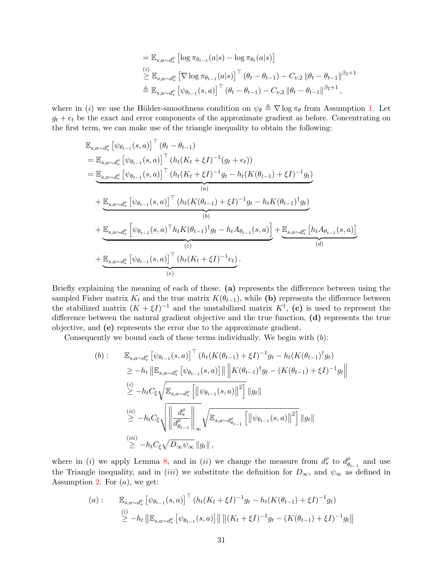$$
= \mathbb{E}_{s,a\sim d_*^{\rho}} \left[ \log \pi_{\theta_{t-1}}(a|s) - \log \pi_{\theta_t}(a|s) \right]
$$
  
\n
$$
\stackrel{(i)}{\geq} \mathbb{E}_{s,a\sim d_*^{\rho}} \left[ \nabla \log \pi_{\theta_{t-1}}(a|s) \right]^\top (\theta_t - \theta_{t-1}) - C_{\nu,2} ||\theta_t - \theta_{t-1}||^{\beta_2+1}
$$
  
\n
$$
\triangleq \mathbb{E}_{s,a\sim d_*^{\rho}} \left[ \psi_{\theta_{t-1}}(s,a) \right]^\top (\theta_t - \theta_{t-1}) - C_{\nu,2} ||\theta_t - \theta_{t-1}||^{\beta_2+1},
$$

where in (i) we use the Hölder-smoothness condition on  $\psi_{\theta} \triangleq \nabla \log \pi_{\theta}$  from Assumption [1.](#page-2-1) Let  $g_t + e_t$  be the exact and error components of the approximate gradient as before. Concentrating on the first term, we can make use of the triangle inequality to obtain the following:

$$
\mathbb{E}_{s,a\sim d_{*}^{\rho}}\left[\psi_{\theta_{t-1}}(s,a)\right]^{\top}(\theta_{t}-\theta_{t-1})
$$
\n
$$
=\mathbb{E}_{s,a\sim d_{*}^{\rho}}\left[\psi_{\theta_{t-1}}(s,a)\right]^{\top}(h_{t}(K_{t}+\xi I)^{-1}(g_{t}+e_{t}))
$$
\n
$$
=\underbrace{\mathbb{E}_{s,a\sim d_{*}^{\rho}}\left[\psi_{\theta_{t-1}}(s,a)\right]^{\top}(h_{t}(K_{t}+\xi I)^{-1}g_{t}-h_{t}(K(\theta_{t-1})+\xi I)^{-1}g_{t})}_{(a)}
$$
\n
$$
+\underbrace{\mathbb{E}_{s,a\sim d_{*}^{\rho}}\left[\psi_{\theta_{t-1}}(s,a)\right]^{\top}(h_{t}(K(\theta_{t-1})+\xi I)^{-1}g_{t}-h_{t}K(\theta_{t-1})^{\dagger}g_{t})}_{(b)}
$$
\n
$$
+\underbrace{\mathbb{E}_{s,a\sim d_{*}^{\rho}}\left[\psi_{\theta_{t-1}}(s,a)^{\top}h_{t}K(\theta_{t-1})^{\dagger}g_{t}-h_{t}A_{\theta_{t-1}}(s,a)\right]}_{(c)}+\underbrace{\mathbb{E}_{s,a\sim d_{*}^{\rho}}\left[h_{t}A_{\theta_{t-1}}(s,a)\right]}_{(d)}
$$
\n
$$
+\underbrace{\mathbb{E}_{s,a\sim d_{*}^{\rho}}\left[\psi_{\theta_{t-1}}(s,a)\right]^{\top}(h_{t}(K_{t}+\xi I)^{-1}e_{t})}_{(e)}.
$$

Briefly explaining the meaning of each of these: (a) represents the difference between using the sampled Fisher matrix  $K_t$  and the true matrix  $K(\theta_{t-1})$ , while (b) represents the difference between the stabilized matrix  $(K + \xi I)^{-1}$  and the unstabilized matrix  $K^{\dagger}$ , (c) is used to represent the difference between the natural gradient objective and the true function, (d) represents the true objective, and (e) represents the error due to the approximate gradient.

Consequently we bound each of these terms individually. We begin with  $(b)$ :

(b): 
$$
\mathbb{E}_{s,a\sim d_*^{\rho}} \left[ \psi_{\theta_{t-1}}(s,a) \right]^\top (h_t(K(\theta_{t-1}) + \xi I)^{-1} g_t - h_t(K(\theta_{t-1})^\dagger g_t)
$$
  
\n
$$
\geq -h_t \left\| \mathbb{E}_{s,a\sim d_*^{\rho}} \left[ \psi_{\theta_{t-1}}(s,a) \right] \right\| \left\| K(\theta_{t-1})^\dagger g_t - (K(\theta_{t-1}) + \xi I)^{-1} g_t \right\|
$$
  
\n
$$
\stackrel{(i)}{\geq} -h_t C_{\xi} \sqrt{\mathbb{E}_{s,a\sim d_*^{\rho}} \left[ \left\| \psi_{\theta_{t-1}}(s,a) \right\|^2 \right]} \|g_t\|
$$
  
\n
$$
\stackrel{(ii)}{\geq} -h_t C_{\xi} \sqrt{\left\| \frac{d_*^{\rho}}{d_{\theta_{t-1}}^{\rho}} \right\|_{\infty}} \sqrt{\mathbb{E}_{s,a\sim d_{\theta_{t-1}}^{\rho}} \left[ \left\| \psi_{\theta_{t-1}}(s,a) \right\|^2 \right]} \|g_t\|
$$
  
\n
$$
\stackrel{(iii)}{\geq} -h_t C_{\xi} \sqrt{D_{\infty} \psi_{\infty}} \|g_t\|,
$$

where in (i) we apply Lemma [8,](#page-28-0) and in (ii) we change the measure from  $d_{*}^{\rho}$  to  $d_{\theta}^{\rho}$  $\begin{bmatrix} \rho \\ \theta_{t-1} \end{bmatrix}$  and use the Triangle inequality, and in (iii) we substitute the definition for  $D_{\infty}$ , and  $\psi_{\infty}$  as defined in Assumption [2.](#page-3-0) For  $(a)$ , we get:

$$
(a): \mathbb{E}_{s,a\sim d_*^{\rho}} \left[ \psi_{\theta_{t-1}}(s,a) \right]^{\top} (h_t(K_t + \xi I)^{-1} g_t - h_t(K(\theta_{t-1}) + \xi I)^{-1} g_t)
$$
  
\n
$$
\geq -h_t \left\| \mathbb{E}_{s,a\sim d_*^{\rho}} \left[ \psi_{\theta_{t-1}}(s,a) \right] \right\| \left\| (K_t + \xi I)^{-1} g_t - (K(\theta_{t-1}) + \xi I)^{-1} g_t \right\|
$$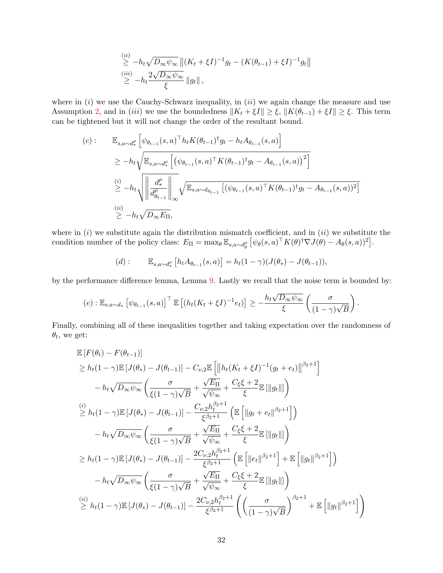$$
\leq \frac{(ii)}{\geq} -h_t \sqrt{D_{\infty} \psi_{\infty}} \left\| (K_t + \xi I)^{-1} g_t - (K(\theta_{t-1}) + \xi I)^{-1} g_t \right\|
$$
  
\n
$$
\leq \frac{(iii)}{\geq} -h_t \frac{2\sqrt{D_{\infty} \psi_{\infty}}}{\xi} \|g_t\|,
$$

where in  $(i)$  we use the Cauchy-Schwarz inequality, in  $(ii)$  we again change the measure and use Assumption [2,](#page-3-0) and in (iii) we use the boundedness  $||K_t + \xi I|| \geq \xi$ ,  $||K(\theta_{t-1}) + \xi I|| \geq \xi$ . This term can be tightened but it will not change the order of the resultant bound.

$$
(c): \mathbb{E}_{s,a\sim d_*^{\rho}} \left[ \psi_{\theta_{t-1}}(s,a)^{\top} h_t K(\theta_{t-1})^{\dagger} g_t - h_t A_{\theta_{t-1}}(s,a) \right]
$$
  
\n
$$
\geq -h_t \sqrt{\mathbb{E}_{s,a\sim d_*^{\rho}} \left[ (\psi_{\theta_{t-1}}(s,a)^{\top} K(\theta_{t-1})^{\dagger} g_t - A_{\theta_{t-1}}(s,a))^2 \right]}
$$
  
\n
$$
\stackrel{(i)}{\geq} -h_t \sqrt{\left\| \frac{d_*^{\rho}}{d_{\theta_{t-1}}^{\rho}} \right\|_{\infty}} \sqrt{\mathbb{E}_{s,a\sim d_{\theta_{t-1}}} \left[ (\psi_{\theta_{t-1}}(s,a)^{\top} K(\theta_{t-1})^{\dagger} g_t - A_{\theta_{t-1}}(s,a))^2 \right]}
$$
  
\n
$$
\stackrel{(ii)}{\geq} -h_t \sqrt{D_{\infty} E_{\Pi}},
$$

where in  $(i)$  we substitute again the distribution mismatch coefficient, and in  $(ii)$  we substitute the condition number of the policy class:  $E_{\Pi} = \max_{\theta} \mathbb{E}_{s,a \sim d_{\theta}^{\rho}} \left[ \psi_{\theta}(s,a)^{\top} K(\theta)^{\dagger} \nabla J(\theta) - A_{\theta}(s,a) \right]^{2}$ .

(d): 
$$
\mathbb{E}_{s,a \sim d_*^{\rho}} [h_t A_{\theta_{t-1}}(s,a)] = h_t (1 - \gamma) (J(\theta_*) - J(\theta_{t-1})),
$$

by the performance difference lemma, Lemma [9.](#page-29-0) Lastly we recall that the noise term is bounded by:

$$
(e) : \mathbb{E}_{s,a\sim d_*} \left[ \psi_{\theta_{t-1}}(s,a) \right]^\top \mathbb{E} \left[ \left( h_t(K_t + \xi I)^{-1} e_t \right) \right] \geq -\frac{h_t \sqrt{D_\infty \psi_\infty}}{\xi} \left( \frac{\sigma}{(1-\gamma)\sqrt{B}} \right).
$$

Finally, combining all of these inequalities together and taking expectation over the randomness of  $\theta_t$ , we get:

$$
\mathbb{E}\left[F(\theta_{t}) - F(\theta_{t-1})\right] \n\geq h_{t}(1-\gamma)\mathbb{E}\left[J(\theta_{*}) - J(\theta_{t-1})\right] - C_{\nu,2}\mathbb{E}\left[\left\|h_{t}(K_{t} + \xi I)^{-1}(g_{t} + e_{t})\right\|^{2_{2}+1}\right] \n- h_{t}\sqrt{D_{\infty}\psi_{\infty}}\left(\frac{\sigma}{\xi(1-\gamma)\sqrt{B}} + \frac{\sqrt{E_{\Pi}}}{\sqrt{\psi_{\infty}}} + \frac{C_{\xi}\xi + 2}{\xi}\mathbb{E}\left[\|g_{t}\|\right]\right) \n\stackrel{(i)}{\geq} h_{t}(1-\gamma)\mathbb{E}\left[J(\theta_{*}) - J(\theta_{t-1})\right] - \frac{C_{\nu,2}h_{t}^{\beta_{2}+1}}{\xi^{\beta_{2}+1}}\left(\mathbb{E}\left[\|g_{t} + e_{t}\|^{2_{2}+1}\right]\right) \n- h_{t}\sqrt{D_{\infty}\psi_{\infty}}\left(\frac{\sigma}{\xi(1-\gamma)\sqrt{B}} + \frac{\sqrt{E_{\Pi}}}{\sqrt{\psi_{\infty}}} + \frac{C_{\xi}\xi + 2}{\xi}\mathbb{E}\left[\|g_{t}\|\right]\right) \n\geq h_{t}(1-\gamma)\mathbb{E}\left[J(\theta_{*}) - J(\theta_{t-1})\right] - \frac{2C_{\nu,2}h_{t}^{\beta_{2}+1}}{\xi^{\beta_{2}+1}}\left(\mathbb{E}\left[\|e_{t}\|^{2_{2}+1}\right] + \mathbb{E}\left[\|g_{t}\|^{2_{2}+1}\right]\right) \n- h_{t}\sqrt{D_{\infty}\psi_{\infty}}\left(\frac{\sigma}{\xi(1-\gamma)\sqrt{B}} + \frac{\sqrt{E_{\Pi}}}{\sqrt{\psi_{\infty}}} + \frac{C_{\xi}\xi + 2}{\xi}\mathbb{E}\left[\|g_{t}\|\right]\right) \n\stackrel{(ii)}{\geq} h_{t}(1-\gamma)\mathbb{E}\left[J(\theta_{*}) - J(\theta_{t-1})\right] - \frac{2C_{\nu,2}h_{t}^{\beta_{2}+1}}{\xi^{\beta_{2}+1}}\left(\left(\frac{\sigma}{(1-\gamma)\sqrt{B}}\right)^{\beta_{2}+
$$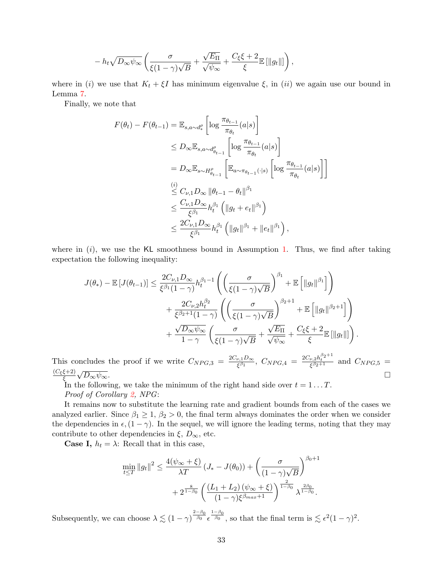$$
- h_t \sqrt{D_{\infty} \psi_{\infty}} \left( \frac{\sigma}{\xi(1-\gamma)\sqrt{B}} + \frac{\sqrt{E_{\Pi}}}{\sqrt{\psi_{\infty}}} + \frac{C_{\xi} \xi + 2}{\xi} \mathbb{E} [\Vert g_t \Vert] \right),
$$

where in (i) we use that  $K_t + \xi I$  has minimum eigenvalue  $\xi$ , in (ii) we again use our bound in Lemma [7.](#page-19-1)

Finally, we note that

$$
F(\theta_t) - F(\theta_{t-1}) = \mathbb{E}_{s,a \sim d_*^{\rho}} \left[ \log \frac{\pi_{\theta_{t-1}}}{\pi_{\theta_t}}(a|s) \right]
$$
  
\n
$$
\leq D_{\infty} \mathbb{E}_{s,a \sim d_{\theta_{t-1}}^{\rho}} \left[ \log \frac{\pi_{\theta_{t-1}}}{\pi_{\theta_t}}(a|s) \right]
$$
  
\n
$$
= D_{\infty} \mathbb{E}_{s \sim H_{\theta_{t-1}}^{\rho}} \left[ \mathbb{E}_{a \sim \pi_{\theta_{t-1}}(\cdot|s)} \left[ \log \frac{\pi_{\theta_{t-1}}}{\pi_{\theta_t}}(a|s) \right] \right]
$$
  
\n
$$
\leq C_{\nu,1} D_{\infty} \|\theta_{t-1} - \theta_t\|^{\beta_1}
$$
  
\n
$$
\leq \frac{C_{\nu,1} D_{\infty}}{\xi^{\beta_1}} h_t^{\beta_1} \left( \|g_t + e_t\|^{\beta_1} \right)
$$
  
\n
$$
\leq \frac{2C_{\nu,1} D_{\infty}}{\xi^{\beta_1}} h_t^{\beta_1} \left( \|g_t\|^{\beta_1} + \|e_t\|^{\beta_1} \right),
$$

where in  $(i)$ , we use the KL smoothness bound in Assumption [1.](#page-2-1) Thus, we find after taking expectation the following inequality:

$$
J(\theta_*) - \mathbb{E}\left[J(\theta_{t-1})\right] \leq \frac{2C_{\nu,1}D_{\infty}}{\xi^{\beta_1}(1-\gamma)}h_t^{\beta_1-1}\left(\left(\frac{\sigma}{\xi(1-\gamma)\sqrt{B}}\right)^{\beta_1} + \mathbb{E}\left[\left\|g_t\right\|^{\beta_1}\right]\right) + \frac{2C_{\nu,2}h_t^{\beta_2}}{\xi^{\beta_2+1}(1-\gamma)}\left(\left(\frac{\sigma}{\xi(1-\gamma)\sqrt{B}}\right)^{\beta_2+1} + \mathbb{E}\left[\left\|g_t\right\|^{\beta_2+1}\right]\right) + \frac{\sqrt{D_{\infty}\psi_{\infty}}}{1-\gamma}\left(\frac{\sigma}{\xi(1-\gamma)\sqrt{B}} + \frac{\sqrt{E_{\Pi}}}{\sqrt{\psi_{\infty}}} + \frac{C_{\xi}\xi+2}{\xi}\mathbb{E}\left[\left\|g_t\right\|\right]\right).
$$

This concludes the proof if we write  $C_{NPG,3} = \frac{2C_{\nu,1}D_{\infty}}{\epsilon \beta_1}$  $\frac{\epsilon^{l}_{k+1}D_{\infty}}{\xi^{\beta_{1}}}, \ C_{NPG,4} \ = \ \frac{2C_{\nu,2}h_{t}^{\beta_{2}+1}}{\xi^{\beta_{2}+1}} \ \ {\rm and} \ \ C_{NPG,5} \ =$  $(C_{\xi}\xi+2)$ ξ  $\sqrt{D_{\infty}\psi_{\infty}}$ .

In the following, we take the minimum of the right hand side over  $t = 1 \dots T$ . Proof of Corollary [2,](#page-8-0) NPG:

It remains now to substitute the learning rate and gradient bounds from each of the cases we analyzed earlier. Since  $\beta_1 \geq 1$ ,  $\beta_2 > 0$ , the final term always dominates the order when we consider the dependencies in  $\epsilon,(1-\gamma)$ . In the sequel, we will ignore the leading terms, noting that they may contribute to other dependencies in  $\xi$ ,  $D_{\infty}$ , etc.

**Case I,**  $h_t = \lambda$ : Recall that in this case,

$$
\min_{t \leq T} \|g_t\|^2 \leq \frac{4(\psi_{\infty} + \xi)}{\lambda T} (J_* - J(\theta_0)) + \left(\frac{\sigma}{(1 - \gamma)\sqrt{B}}\right)^{\beta_0 + 1} + 2^{\frac{8}{1 - \beta_0}} \left(\frac{(L_1 + L_2)(\psi_{\infty} + \xi)}{(1 - \gamma)\xi^{\beta_{max} + 1}}\right)^{\frac{2}{1 - \beta_0}} \lambda^{\frac{2\beta_0}{1 - \beta_0}}.
$$

Subsequently, we can choose  $\lambda \lesssim (1-\gamma)^{\frac{2-\beta_0}{\beta_0}} \epsilon^{\frac{1-\beta_0}{\beta_0}},$  so that the final term is  $\lesssim \epsilon^2 (1-\gamma)^2$ .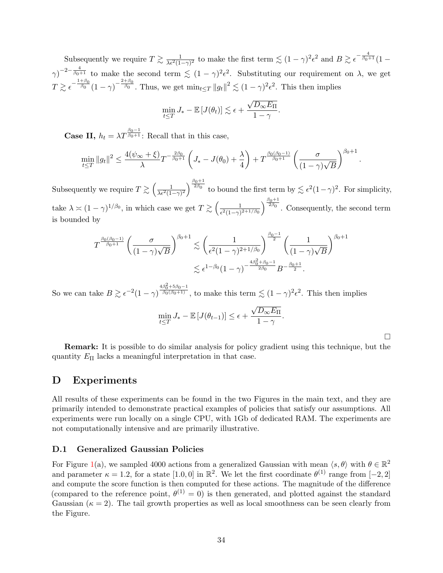Subsequently we require  $T \gtrsim \frac{1}{\lambda \epsilon^2 (1-\gamma)^2}$  to make the first term  $\lesssim (1-\gamma)^2 \epsilon^2$  and  $B \gtrsim \epsilon^{-\frac{4}{\beta_0+1}} (1-\gamma)^2$  $(\gamma)^{-2-\frac{4}{\beta_0+1}}$  to make the second term  $\lesssim (1-\gamma)^2 \epsilon^2$ . Substituting our requirement on  $\lambda$ , we get  $T \gtrsim \epsilon^{-\frac{1+\beta_0}{\beta_0}}(1-\gamma)^{-\frac{2+\beta_0}{\beta_0}}$ . Thus, we get  $\min_{t \leq T} ||g_t||^2 \lesssim (1-\gamma)^2 \epsilon^2$ . This then implies

$$
\min_{t \leq T} J_{*} - \mathbb{E} \left[ J(\theta_{t}) \right] \lesssim \epsilon + \frac{\sqrt{D_{\infty} E_{\Pi}}}{1 - \gamma}.
$$

**Case II,**  $h_t = \lambda T^{\frac{\beta_0 - 1}{\beta_0 + 1}}$ : Recall that in this case,

$$
\min_{t \leq T} \|g_t\|^2 \leq \frac{4(\psi_{\infty} + \xi)}{\lambda} T^{-\frac{2\beta_0}{\beta_0 + 1}} \left( J_* - J(\theta_0) + \frac{\lambda}{4} \right) + T^{\frac{\beta_0(\beta_0 - 1)}{\beta_0 + 1}} \left( \frac{\sigma}{(1 - \gamma)\sqrt{B}} \right)^{\beta_0 + 1}
$$

Subsequently we require  $T \gtrsim \left(\frac{1}{\lambda \epsilon^2 (1-\gamma)^2}\right)^{\frac{\beta_0+1}{2\beta_0}}$  to bound the first term by  $\lesssim \epsilon^2 (1-\gamma)^2$ . For simplicity, take  $\lambda \approx (1 - \gamma)^{1/\beta_0}$ , in which case we get  $T \gtrsim \left(\frac{1}{e^{2(1 - \alpha)}}\right)$  $\frac{1}{\epsilon^2(1-\gamma)^{2+1/\beta_0}}\right)^{\frac{\beta_0+1}{2\beta_0}}$ . Consequently, the second term is bounded by

$$
T^{\frac{\beta_0(\beta_0-1)}{\beta_0+1}} \left(\frac{\sigma}{(1-\gamma)\sqrt{B}}\right)^{\beta_0+1} \lesssim \left(\frac{1}{\epsilon^2(1-\gamma)^{2+1/\beta_0}}\right)^{\frac{\beta_0-1}{2}} \left(\frac{1}{(1-\gamma)\sqrt{B}}\right)^{\beta_0+1} \lesssim \epsilon^{1-\beta_0}(1-\gamma)^{-\frac{4\beta_0^2+\beta_0-1}{2\beta_0}} B^{-\frac{\beta_0+1}{2}}.
$$

So we can take  $B \gtrsim \epsilon^{-2} (1-\gamma)^{\frac{4\beta_0^2 + 5\beta_0 - 1}{\beta_0(\beta_0 + 1)}}$ , to make this term  $\lesssim (1 - \gamma)^2 \epsilon^2$ . This then implies

$$
\min_{t \leq T} J_{*} - \mathbb{E} \left[ J(\theta_{t-1}) \right] \leq \epsilon + \frac{\sqrt{D_{\infty} E_{\Pi}}}{1 - \gamma}.
$$

 $\Box$ 

.

Remark: It is possible to do similar analysis for policy gradient using this technique, but the quantity  $E_{\Pi}$  lacks a meaningful interpretation in that case.

# D Experiments

All results of these experiments can be found in the two Figures in the main text, and they are primarily intended to demonstrate practical examples of policies that satisfy our assumptions. All experiments were run locally on a single CPU, with 1Gb of dedicated RAM. The experiments are not computationally intensive and are primarily illustrative.

#### D.1 Generalized Gaussian Policies

For Figure [1\(](#page-5-2)a), we sampled 4000 actions from a generalized Gaussian with mean  $\langle s, \theta \rangle$  with  $\theta \in \mathbb{R}^2$ and parameter  $\kappa = 1.2$ , for a state [1.0,0] in  $\mathbb{R}^2$ . We let the first coordinate  $\theta^{(1)}$  range from [-2,2] and compute the score function is then computed for these actions. The magnitude of the difference (compared to the reference point,  $\theta^{(1)} = 0$ ) is then generated, and plotted against the standard Gaussian  $(\kappa = 2)$ . The tail growth properties as well as local smoothness can be seen clearly from the Figure.